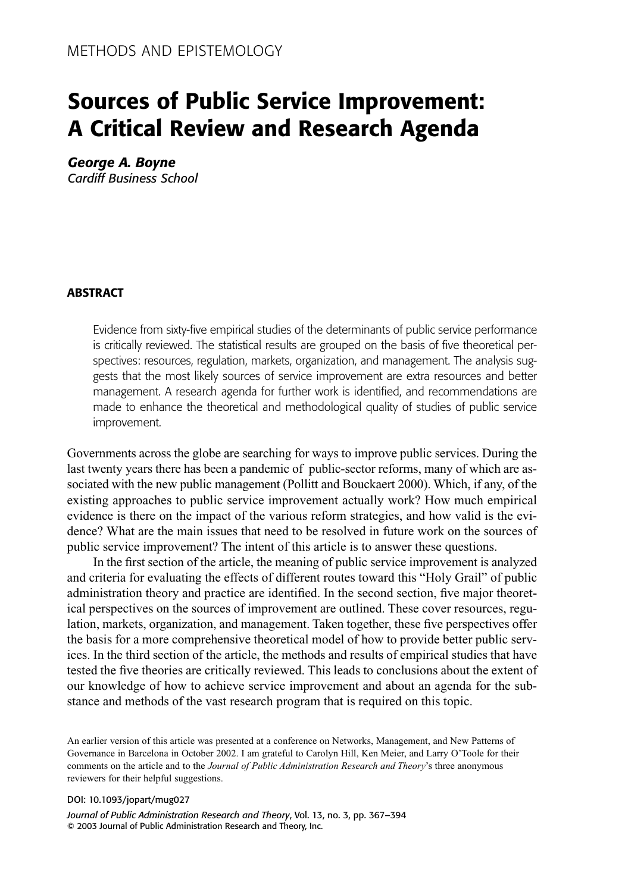# **Sources of Public Service Improvement: A Critical Review and Research Agenda**

*George A. Boyne Cardiff Business School*

## **ABSTRACT**

Evidence from sixty-five empirical studies of the determinants of public service performance is critically reviewed. The statistical results are grouped on the basis of five theoretical perspectives: resources, regulation, markets, organization, and management. The analysis suggests that the most likely sources of service improvement are extra resources and better management. A research agenda for further work is identified, and recommendations are made to enhance the theoretical and methodological quality of studies of public service improvement.

Governments across the globe are searching for ways to improve public services. During the last twenty years there has been a pandemic of public-sector reforms, many of which are associated with the new public management (Pollitt and Bouckaert 2000). Which, if any, of the existing approaches to public service improvement actually work? How much empirical evidence is there on the impact of the various reform strategies, and how valid is the evidence? What are the main issues that need to be resolved in future work on the sources of public service improvement? The intent of this article is to answer these questions.

In the first section of the article, the meaning of public service improvement is analyzed and criteria for evaluating the effects of different routes toward this "Holy Grail" of public administration theory and practice are identified. In the second section, five major theoretical perspectives on the sources of improvement are outlined. These cover resources, regulation, markets, organization, and management. Taken together, these five perspectives offer the basis for a more comprehensive theoretical model of how to provide better public services. In the third section of the article, the methods and results of empirical studies that have tested the five theories are critically reviewed. This leads to conclusions about the extent of our knowledge of how to achieve service improvement and about an agenda for the substance and methods of the vast research program that is required on this topic.

An earlier version of this article was presented at a conference on Networks, Management, and New Patterns of Governance in Barcelona in October 2002. I am grateful to Carolyn Hill, Ken Meier, and Larry O'Toole for their comments on the article and to the *Journal of Public Administration Research and Theory*'s three anonymous reviewers for their helpful suggestions.

DOI: 10.1093/jopart/mug027

*Journal of Public Administration Research and Theory*, Vol. 13, no. 3, pp. 367–394 © 2003 Journal of Public Administration Research and Theory, Inc.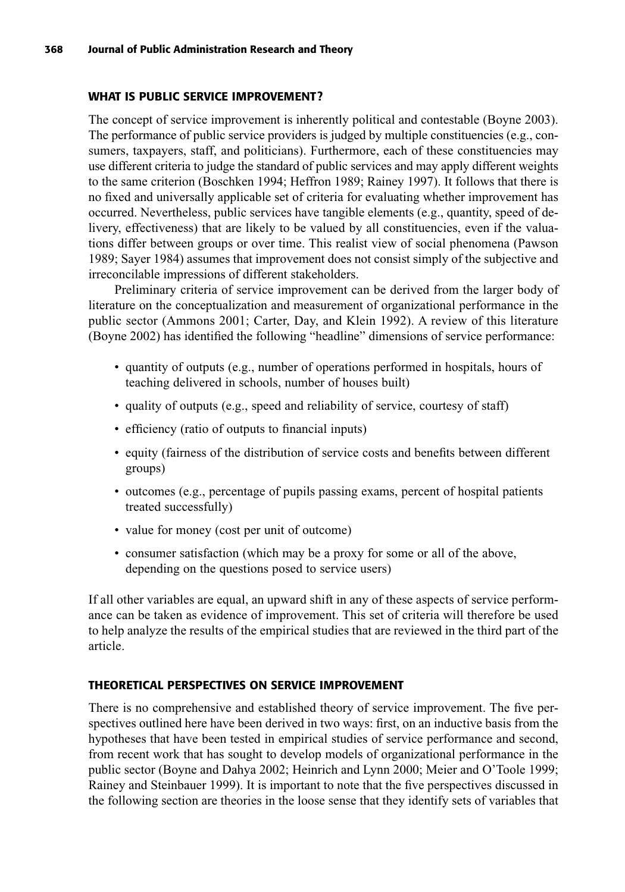## **WHAT IS PUBLIC SERVICE IMPROVEMENT?**

The concept of service improvement is inherently political and contestable (Boyne 2003). The performance of public service providers is judged by multiple constituencies (e.g., consumers, taxpayers, staff, and politicians). Furthermore, each of these constituencies may use different criteria to judge the standard of public services and may apply different weights to the same criterion (Boschken 1994; Heffron 1989; Rainey 1997). It follows that there is no fixed and universally applicable set of criteria for evaluating whether improvement has occurred. Nevertheless, public services have tangible elements (e.g., quantity, speed of delivery, effectiveness) that are likely to be valued by all constituencies, even if the valuations differ between groups or over time. This realist view of social phenomena (Pawson 1989; Sayer 1984) assumes that improvement does not consist simply of the subjective and irreconcilable impressions of different stakeholders.

Preliminary criteria of service improvement can be derived from the larger body of literature on the conceptualization and measurement of organizational performance in the public sector (Ammons 2001; Carter, Day, and Klein 1992). A review of this literature (Boyne 2002) has identified the following "headline" dimensions of service performance:

- quantity of outputs (e.g., number of operations performed in hospitals, hours of teaching delivered in schools, number of houses built)
- quality of outputs (e.g., speed and reliability of service, courtesy of staff)
- efficiency (ratio of outputs to financial inputs)
- equity (fairness of the distribution of service costs and benefits between different groups)
- outcomes (e.g., percentage of pupils passing exams, percent of hospital patients treated successfully)
- value for money (cost per unit of outcome)
- consumer satisfaction (which may be a proxy for some or all of the above, depending on the questions posed to service users)

If all other variables are equal, an upward shift in any of these aspects of service performance can be taken as evidence of improvement. This set of criteria will therefore be used to help analyze the results of the empirical studies that are reviewed in the third part of the article.

# **THEORETICAL PERSPECTIVES ON SERVICE IMPROVEMENT**

There is no comprehensive and established theory of service improvement. The five perspectives outlined here have been derived in two ways: first, on an inductive basis from the hypotheses that have been tested in empirical studies of service performance and second, from recent work that has sought to develop models of organizational performance in the public sector (Boyne and Dahya 2002; Heinrich and Lynn 2000; Meier and O'Toole 1999; Rainey and Steinbauer 1999). It is important to note that the five perspectives discussed in the following section are theories in the loose sense that they identify sets of variables that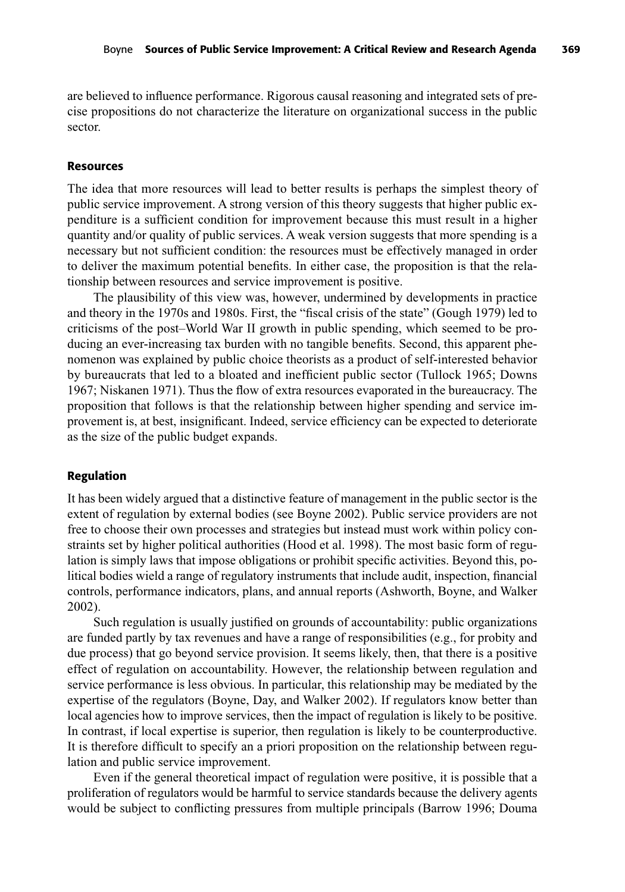are believed to influence performance. Rigorous causal reasoning and integrated sets of precise propositions do not characterize the literature on organizational success in the public sector.

#### **Resources**

The idea that more resources will lead to better results is perhaps the simplest theory of public service improvement. A strong version of this theory suggests that higher public expenditure is a sufficient condition for improvement because this must result in a higher quantity and/or quality of public services. A weak version suggests that more spending is a necessary but not sufficient condition: the resources must be effectively managed in order to deliver the maximum potential benefits. In either case, the proposition is that the relationship between resources and service improvement is positive.

The plausibility of this view was, however, undermined by developments in practice and theory in the 1970s and 1980s. First, the "fiscal crisis of the state" (Gough 1979) led to criticisms of the post–World War II growth in public spending, which seemed to be producing an ever-increasing tax burden with no tangible benefits. Second, this apparent phenomenon was explained by public choice theorists as a product of self-interested behavior by bureaucrats that led to a bloated and inefficient public sector (Tullock 1965; Downs 1967; Niskanen 1971). Thus the flow of extra resources evaporated in the bureaucracy. The proposition that follows is that the relationship between higher spending and service improvement is, at best, insignificant. Indeed, service efficiency can be expected to deteriorate as the size of the public budget expands.

#### **Regulation**

It has been widely argued that a distinctive feature of management in the public sector is the extent of regulation by external bodies (see Boyne 2002). Public service providers are not free to choose their own processes and strategies but instead must work within policy constraints set by higher political authorities (Hood et al. 1998). The most basic form of regulation is simply laws that impose obligations or prohibit specific activities. Beyond this, political bodies wield a range of regulatory instruments that include audit, inspection, financial controls, performance indicators, plans, and annual reports (Ashworth, Boyne, and Walker 2002).

Such regulation is usually justified on grounds of accountability: public organizations are funded partly by tax revenues and have a range of responsibilities (e.g., for probity and due process) that go beyond service provision. It seems likely, then, that there is a positive effect of regulation on accountability. However, the relationship between regulation and service performance is less obvious. In particular, this relationship may be mediated by the expertise of the regulators (Boyne, Day, and Walker 2002). If regulators know better than local agencies how to improve services, then the impact of regulation is likely to be positive. In contrast, if local expertise is superior, then regulation is likely to be counterproductive. It is therefore difficult to specify an a priori proposition on the relationship between regulation and public service improvement.

Even if the general theoretical impact of regulation were positive, it is possible that a proliferation of regulators would be harmful to service standards because the delivery agents would be subject to conflicting pressures from multiple principals (Barrow 1996; Douma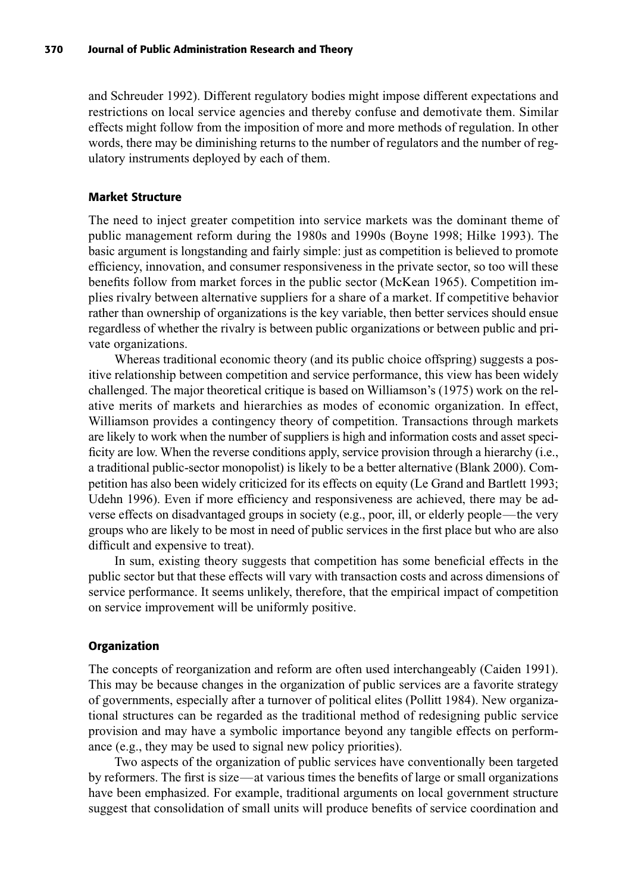and Schreuder 1992). Different regulatory bodies might impose different expectations and restrictions on local service agencies and thereby confuse and demotivate them. Similar effects might follow from the imposition of more and more methods of regulation. In other words, there may be diminishing returns to the number of regulators and the number of regulatory instruments deployed by each of them.

#### **Market Structure**

The need to inject greater competition into service markets was the dominant theme of public management reform during the 1980s and 1990s (Boyne 1998; Hilke 1993). The basic argument is longstanding and fairly simple: just as competition is believed to promote efficiency, innovation, and consumer responsiveness in the private sector, so too will these benefits follow from market forces in the public sector (McKean 1965). Competition implies rivalry between alternative suppliers for a share of a market. If competitive behavior rather than ownership of organizations is the key variable, then better services should ensue regardless of whether the rivalry is between public organizations or between public and private organizations.

Whereas traditional economic theory (and its public choice offspring) suggests a positive relationship between competition and service performance, this view has been widely challenged. The major theoretical critique is based on Williamson's (1975) work on the relative merits of markets and hierarchies as modes of economic organization. In effect, Williamson provides a contingency theory of competition. Transactions through markets are likely to work when the number of suppliers is high and information costs and asset specificity are low. When the reverse conditions apply, service provision through a hierarchy (i.e., a traditional public-sector monopolist) is likely to be a better alternative (Blank 2000). Competition has also been widely criticized for its effects on equity (Le Grand and Bartlett 1993; Udehn 1996). Even if more efficiency and responsiveness are achieved, there may be adverse effects on disadvantaged groups in society (e.g., poor, ill, or elderly people—the very groups who are likely to be most in need of public services in the first place but who are also difficult and expensive to treat).

In sum, existing theory suggests that competition has some beneficial effects in the public sector but that these effects will vary with transaction costs and across dimensions of service performance. It seems unlikely, therefore, that the empirical impact of competition on service improvement will be uniformly positive.

#### **Organization**

The concepts of reorganization and reform are often used interchangeably (Caiden 1991). This may be because changes in the organization of public services are a favorite strategy of governments, especially after a turnover of political elites (Pollitt 1984). New organizational structures can be regarded as the traditional method of redesigning public service provision and may have a symbolic importance beyond any tangible effects on performance (e.g., they may be used to signal new policy priorities).

Two aspects of the organization of public services have conventionally been targeted by reformers. The first is size—at various times the benefits of large or small organizations have been emphasized. For example, traditional arguments on local government structure suggest that consolidation of small units will produce benefits of service coordination and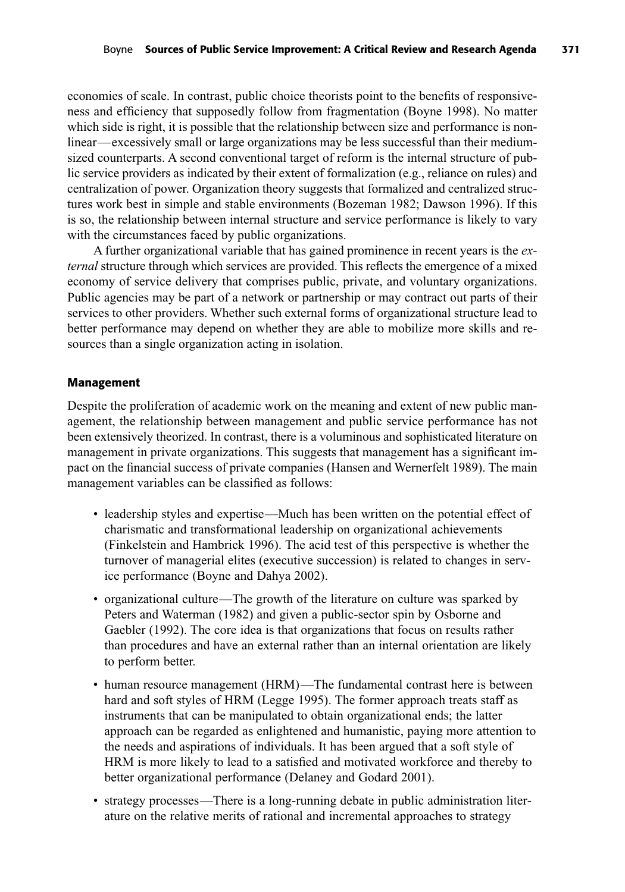economies of scale. In contrast, public choice theorists point to the benefits of responsiveness and efficiency that supposedly follow from fragmentation (Boyne 1998). No matter which side is right, it is possible that the relationship between size and performance is nonlinear—excessively small or large organizations may be less successful than their mediumsized counterparts. A second conventional target of reform is the internal structure of public service providers as indicated by their extent of formalization (e.g., reliance on rules) and centralization of power. Organization theory suggests that formalized and centralized structures work best in simple and stable environments (Bozeman 1982; Dawson 1996). If this is so, the relationship between internal structure and service performance is likely to vary with the circumstances faced by public organizations.

A further organizational variable that has gained prominence in recent years is the *external* structure through which services are provided. This reflects the emergence of a mixed economy of service delivery that comprises public, private, and voluntary organizations. Public agencies may be part of a network or partnership or may contract out parts of their services to other providers. Whether such external forms of organizational structure lead to better performance may depend on whether they are able to mobilize more skills and resources than a single organization acting in isolation.

#### **Management**

Despite the proliferation of academic work on the meaning and extent of new public management, the relationship between management and public service performance has not been extensively theorized. In contrast, there is a voluminous and sophisticated literature on management in private organizations. This suggests that management has a significant impact on the financial success of private companies (Hansen and Wernerfelt 1989). The main management variables can be classified as follows:

- leadership styles and expertise—Much has been written on the potential effect of charismatic and transformational leadership on organizational achievements (Finkelstein and Hambrick 1996). The acid test of this perspective is whether the turnover of managerial elites (executive succession) is related to changes in service performance (Boyne and Dahya 2002).
- organizational culture—The growth of the literature on culture was sparked by Peters and Waterman (1982) and given a public-sector spin by Osborne and Gaebler (1992). The core idea is that organizations that focus on results rather than procedures and have an external rather than an internal orientation are likely to perform better.
- human resource management (HRM)—The fundamental contrast here is between hard and soft styles of HRM (Legge 1995). The former approach treats staff as instruments that can be manipulated to obtain organizational ends; the latter approach can be regarded as enlightened and humanistic, paying more attention to the needs and aspirations of individuals. It has been argued that a soft style of HRM is more likely to lead to a satisfied and motivated workforce and thereby to better organizational performance (Delaney and Godard 2001).
- strategy processes—There is a long-running debate in public administration literature on the relative merits of rational and incremental approaches to strategy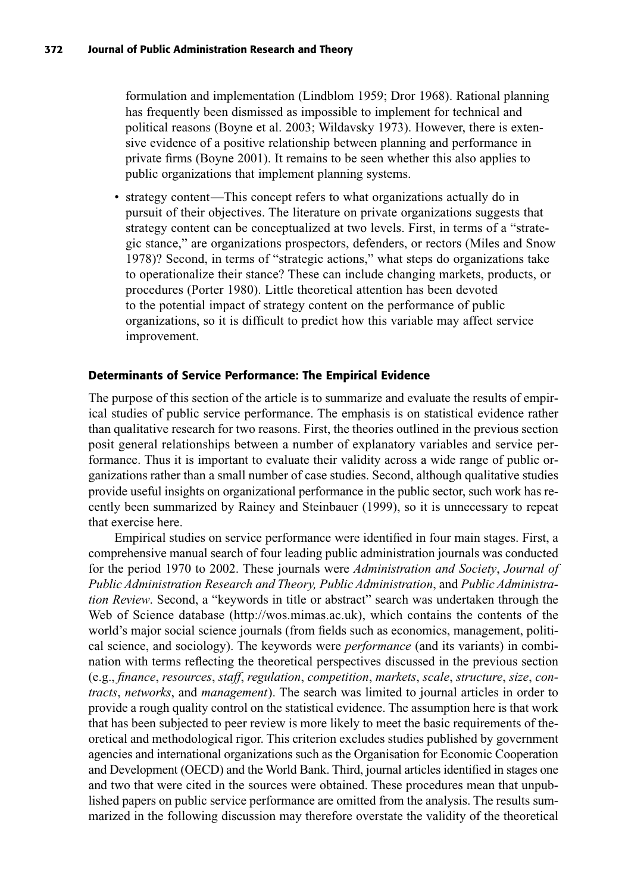formulation and implementation (Lindblom 1959; Dror 1968). Rational planning has frequently been dismissed as impossible to implement for technical and political reasons (Boyne et al. 2003; Wildavsky 1973). However, there is extensive evidence of a positive relationship between planning and performance in private firms (Boyne 2001). It remains to be seen whether this also applies to public organizations that implement planning systems.

• strategy content—This concept refers to what organizations actually do in pursuit of their objectives. The literature on private organizations suggests that strategy content can be conceptualized at two levels. First, in terms of a "strategic stance," are organizations prospectors, defenders, or rectors (Miles and Snow 1978)? Second, in terms of "strategic actions," what steps do organizations take to operationalize their stance? These can include changing markets, products, or procedures (Porter 1980). Little theoretical attention has been devoted to the potential impact of strategy content on the performance of public organizations, so it is difficult to predict how this variable may affect service improvement.

# **Determinants of Service Performance: The Empirical Evidence**

The purpose of this section of the article is to summarize and evaluate the results of empirical studies of public service performance. The emphasis is on statistical evidence rather than qualitative research for two reasons. First, the theories outlined in the previous section posit general relationships between a number of explanatory variables and service performance. Thus it is important to evaluate their validity across a wide range of public organizations rather than a small number of case studies. Second, although qualitative studies provide useful insights on organizational performance in the public sector, such work has recently been summarized by Rainey and Steinbauer (1999), so it is unnecessary to repeat that exercise here.

Empirical studies on service performance were identified in four main stages. First, a comprehensive manual search of four leading public administration journals was conducted for the period 1970 to 2002. These journals were *Administration and Society*, *Journal of Public Administration Research and Theory, Public Administration*, and *Public Administration Review*. Second, a "keywords in title or abstract" search was undertaken through the Web of Science database (http://wos.mimas.ac.uk), which contains the contents of the world's major social science journals (from fields such as economics, management, political science, and sociology). The keywords were *performance* (and its variants) in combination with terms reflecting the theoretical perspectives discussed in the previous section (e.g., *finance*, *resources*, *staff*, *regulation*, *competition*, *markets*, *scale*, *structure*, *size*, *contracts*, *networks*, and *management*). The search was limited to journal articles in order to provide a rough quality control on the statistical evidence. The assumption here is that work that has been subjected to peer review is more likely to meet the basic requirements of theoretical and methodological rigor. This criterion excludes studies published by government agencies and international organizations such as the Organisation for Economic Cooperation and Development (OECD) and the World Bank. Third, journal articles identified in stages one and two that were cited in the sources were obtained. These procedures mean that unpublished papers on public service performance are omitted from the analysis. The results summarized in the following discussion may therefore overstate the validity of the theoretical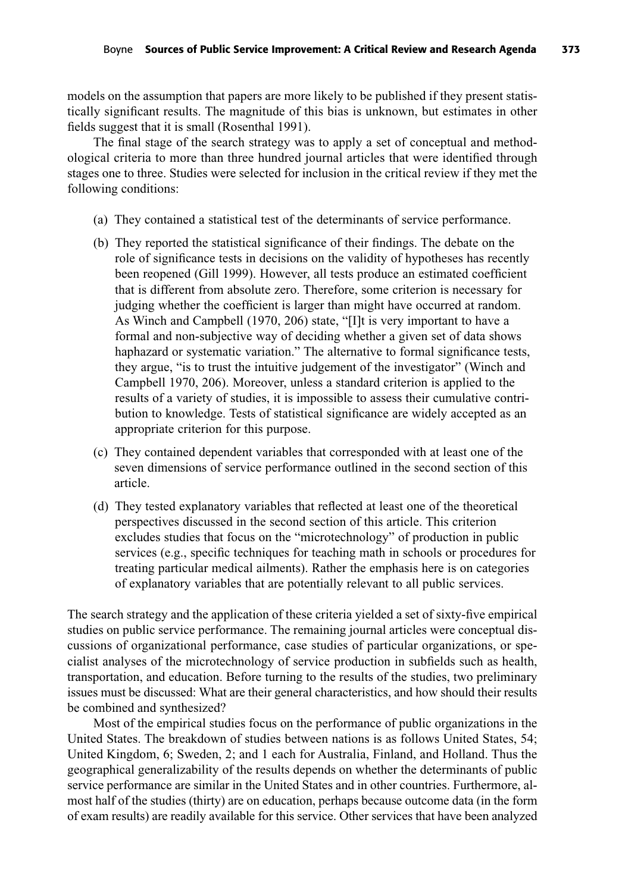models on the assumption that papers are more likely to be published if they present statistically significant results. The magnitude of this bias is unknown, but estimates in other fields suggest that it is small (Rosenthal 1991).

The final stage of the search strategy was to apply a set of conceptual and methodological criteria to more than three hundred journal articles that were identified through stages one to three. Studies were selected for inclusion in the critical review if they met the following conditions:

- (a) They contained a statistical test of the determinants of service performance.
- (b) They reported the statistical significance of their findings. The debate on the role of significance tests in decisions on the validity of hypotheses has recently been reopened (Gill 1999). However, all tests produce an estimated coefficient that is different from absolute zero. Therefore, some criterion is necessary for judging whether the coefficient is larger than might have occurred at random. As Winch and Campbell (1970, 206) state, "[I]t is very important to have a formal and non-subjective way of deciding whether a given set of data shows haphazard or systematic variation." The alternative to formal significance tests, they argue, "is to trust the intuitive judgement of the investigator" (Winch and Campbell 1970, 206). Moreover, unless a standard criterion is applied to the results of a variety of studies, it is impossible to assess their cumulative contribution to knowledge. Tests of statistical significance are widely accepted as an appropriate criterion for this purpose.
- (c) They contained dependent variables that corresponded with at least one of the seven dimensions of service performance outlined in the second section of this article.
- (d) They tested explanatory variables that reflected at least one of the theoretical perspectives discussed in the second section of this article. This criterion excludes studies that focus on the "microtechnology" of production in public services (e.g., specific techniques for teaching math in schools or procedures for treating particular medical ailments). Rather the emphasis here is on categories of explanatory variables that are potentially relevant to all public services.

The search strategy and the application of these criteria yielded a set of sixty-five empirical studies on public service performance. The remaining journal articles were conceptual discussions of organizational performance, case studies of particular organizations, or specialist analyses of the microtechnology of service production in subfields such as health, transportation, and education. Before turning to the results of the studies, two preliminary issues must be discussed: What are their general characteristics, and how should their results be combined and synthesized?

Most of the empirical studies focus on the performance of public organizations in the United States. The breakdown of studies between nations is as follows United States, 54; United Kingdom, 6; Sweden, 2; and 1 each for Australia, Finland, and Holland. Thus the geographical generalizability of the results depends on whether the determinants of public service performance are similar in the United States and in other countries. Furthermore, almost half of the studies (thirty) are on education, perhaps because outcome data (in the form of exam results) are readily available for this service. Other services that have been analyzed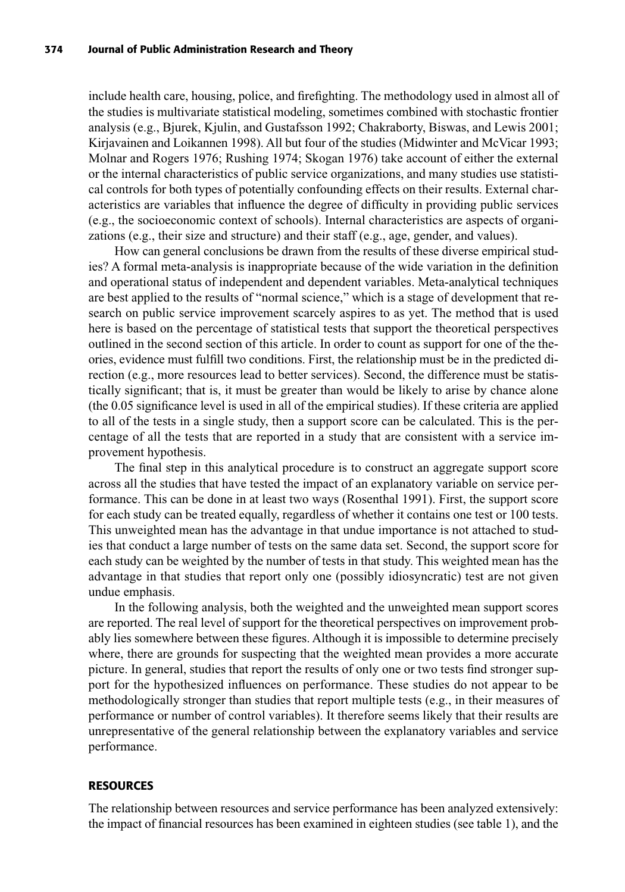include health care, housing, police, and firefighting. The methodology used in almost all of the studies is multivariate statistical modeling, sometimes combined with stochastic frontier analysis (e.g., Bjurek, Kjulin, and Gustafsson 1992; Chakraborty, Biswas, and Lewis 2001; Kirjavainen and Loikannen 1998). All but four of the studies (Midwinter and McVicar 1993; Molnar and Rogers 1976; Rushing 1974; Skogan 1976) take account of either the external or the internal characteristics of public service organizations, and many studies use statistical controls for both types of potentially confounding effects on their results. External characteristics are variables that influence the degree of difficulty in providing public services (e.g., the socioeconomic context of schools). Internal characteristics are aspects of organizations (e.g., their size and structure) and their staff (e.g., age, gender, and values).

How can general conclusions be drawn from the results of these diverse empirical studies? A formal meta-analysis is inappropriate because of the wide variation in the definition and operational status of independent and dependent variables. Meta-analytical techniques are best applied to the results of "normal science," which is a stage of development that research on public service improvement scarcely aspires to as yet. The method that is used here is based on the percentage of statistical tests that support the theoretical perspectives outlined in the second section of this article. In order to count as support for one of the theories, evidence must fulfill two conditions. First, the relationship must be in the predicted direction (e.g., more resources lead to better services). Second, the difference must be statistically significant; that is, it must be greater than would be likely to arise by chance alone (the 0.05 significance level is used in all of the empirical studies). If these criteria are applied to all of the tests in a single study, then a support score can be calculated. This is the percentage of all the tests that are reported in a study that are consistent with a service improvement hypothesis.

The final step in this analytical procedure is to construct an aggregate support score across all the studies that have tested the impact of an explanatory variable on service performance. This can be done in at least two ways (Rosenthal 1991). First, the support score for each study can be treated equally, regardless of whether it contains one test or 100 tests. This unweighted mean has the advantage in that undue importance is not attached to studies that conduct a large number of tests on the same data set. Second, the support score for each study can be weighted by the number of tests in that study. This weighted mean has the advantage in that studies that report only one (possibly idiosyncratic) test are not given undue emphasis.

In the following analysis, both the weighted and the unweighted mean support scores are reported. The real level of support for the theoretical perspectives on improvement probably lies somewhere between these figures. Although it is impossible to determine precisely where, there are grounds for suspecting that the weighted mean provides a more accurate picture. In general, studies that report the results of only one or two tests find stronger support for the hypothesized influences on performance. These studies do not appear to be methodologically stronger than studies that report multiple tests (e.g., in their measures of performance or number of control variables). It therefore seems likely that their results are unrepresentative of the general relationship between the explanatory variables and service performance.

#### **RESOURCES**

The relationship between resources and service performance has been analyzed extensively: the impact of financial resources has been examined in eighteen studies (see table 1), and the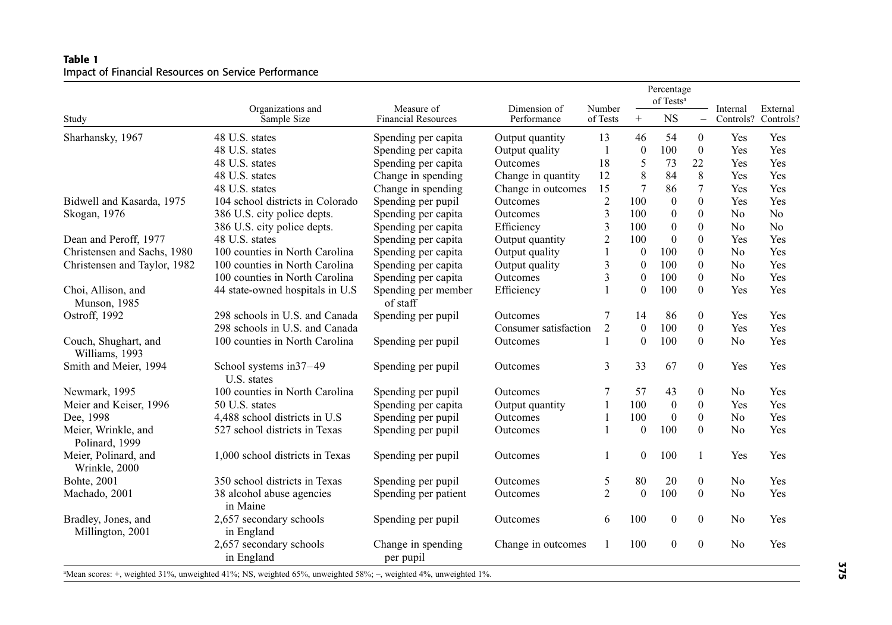### **Table 1** Impact of Financial Resources on Service Performance

|                                         |                                        |                                 |                       |                |                | Percentage            |                  |                |                     |
|-----------------------------------------|----------------------------------------|---------------------------------|-----------------------|----------------|----------------|-----------------------|------------------|----------------|---------------------|
|                                         | Organizations and                      | Measure of                      | Dimension of          | Number         |                | of Tests <sup>a</sup> |                  | Internal       | External            |
| Study                                   | Sample Size                            | <b>Financial Resources</b>      | Performance           | of Tests       | $^{+}$         | <b>NS</b>             | $\equiv$         |                | Controls? Controls? |
| Sharhansky, 1967                        | 48 U.S. states                         | Spending per capita             | Output quantity       | 13             | 46             | 54                    | $\mathbf{0}$     | Yes            | Yes                 |
|                                         | 48 U.S. states                         | Spending per capita             | Output quality        | $\mathbf{1}$   | $\theta$       | 100                   | $\mathbf{0}$     | Yes            | Yes                 |
|                                         | 48 U.S. states                         | Spending per capita             | <b>Outcomes</b>       | 18             | 5              | 73                    | 22               | Yes            | Yes                 |
|                                         | 48 U.S. states                         | Change in spending              | Change in quantity    | 12             | 8              | 84                    | $\,8\,$          | Yes            | Yes                 |
|                                         | 48 U.S. states                         | Change in spending              | Change in outcomes    | 15             | 7              | 86                    | 7                | Yes            | Yes                 |
| Bidwell and Kasarda, 1975               | 104 school districts in Colorado       | Spending per pupil              | <b>Outcomes</b>       | $\overline{c}$ | 100            | $\mathbf{0}$          | $\theta$         | Yes            | Yes                 |
| Skogan, 1976                            | 386 U.S. city police depts.            | Spending per capita             | <b>Outcomes</b>       | 3              | 100            | $\boldsymbol{0}$      | $\mathbf{0}$     | N <sub>o</sub> | N <sub>o</sub>      |
|                                         | 386 U.S. city police depts.            | Spending per capita             | Efficiency            | 3              | 100            | $\boldsymbol{0}$      | $\overline{0}$   | N <sub>o</sub> | N <sub>0</sub>      |
| Dean and Peroff, 1977                   | 48 U.S. states                         | Spending per capita             | Output quantity       | $\overline{c}$ | 100            | $\mathbf{0}$          | $\overline{0}$   | Yes            | Yes                 |
| Christensen and Sachs, 1980             | 100 counties in North Carolina         | Spending per capita             | Output quality        | $\mathbf{1}$   | $\overline{0}$ | 100                   | $\overline{0}$   | N <sub>0</sub> | Yes                 |
| Christensen and Taylor, 1982            | 100 counties in North Carolina         | Spending per capita             | Output quality        | $\mathfrak{Z}$ | $\mathbf{0}$   | 100                   | $\boldsymbol{0}$ | N <sub>o</sub> | Yes                 |
|                                         | 100 counties in North Carolina         | Spending per capita             | Outcomes              | 3              | $\mathbf{0}$   | 100                   | $\boldsymbol{0}$ | N <sub>0</sub> | Yes                 |
| Choi, Allison, and<br>Munson, 1985      | 44 state-owned hospitals in U.S        | Spending per member<br>of staff | Efficiency            |                | $\Omega$       | 100                   | $\overline{0}$   | Yes            | Yes                 |
| Ostroff, 1992                           | 298 schools in U.S. and Canada         | Spending per pupil              | Outcomes              | 7              | 14             | 86                    | $\mathbf{0}$     | <b>Yes</b>     | Yes                 |
|                                         | 298 schools in U.S. and Canada         |                                 | Consumer satisfaction | $\overline{2}$ | $\theta$       | 100                   | $\theta$         | Yes            | Yes                 |
| Couch, Shughart, and<br>Williams, 1993  | 100 counties in North Carolina         | Spending per pupil              | Outcomes              |                | $\theta$       | 100                   | $\overline{0}$   | No             | Yes                 |
| Smith and Meier, 1994                   | School systems in 37–49<br>U.S. states | Spending per pupil              | Outcomes              | 3              | 33             | 67                    | $\overline{0}$   | Yes            | Yes                 |
| Newmark, 1995                           | 100 counties in North Carolina         | Spending per pupil              | Outcomes              | 7              | 57             | 43                    | $\mathbf{0}$     | N <sub>o</sub> | Yes                 |
| Meier and Keiser, 1996                  | 50 U.S. states                         | Spending per capita             | Output quantity       | $\mathbf{1}$   | 100            | $\mathbf{0}$          | $\theta$         | Yes            | Yes                 |
| Dee, 1998                               | 4,488 school districts in U.S.         | Spending per pupil              | Outcomes              | 1              | 100            | $\mathbf{0}$          | $\mathbf{0}$     | N <sub>0</sub> | Yes                 |
| Meier, Wrinkle, and<br>Polinard, 1999   | 527 school districts in Texas          | Spending per pupil              | Outcomes              | $\mathbf{1}$   | $\Omega$       | 100                   | $\Omega$         | N <sub>0</sub> | Yes                 |
| Meier, Polinard, and<br>Wrinkle, 2000   | 1,000 school districts in Texas        | Spending per pupil              | Outcomes              | 1              | $\mathbf{0}$   | 100                   | 1                | Yes            | Yes                 |
| Bohte, 2001                             | 350 school districts in Texas          | Spending per pupil              | Outcomes              | 5              | 80             | 20                    | $\boldsymbol{0}$ | N <sub>0</sub> | Yes                 |
| Machado, 2001                           | 38 alcohol abuse agencies<br>in Maine  | Spending per patient            | Outcomes              | $\overline{2}$ | $\theta$       | 100                   | $\theta$         | N <sub>0</sub> | Yes                 |
| Bradley, Jones, and<br>Millington, 2001 | 2,657 secondary schools<br>in England  | Spending per pupil              | Outcomes              | 6              | 100            | $\mathbf{0}$          | $\theta$         | N <sub>0</sub> | Yes                 |
|                                         | 2,657 secondary schools<br>in England  | Change in spending<br>per pupil | Change in outcomes    | $\mathbf{1}$   | 100            | $\mathbf{0}$          | $\theta$         | N <sub>0</sub> | Yes                 |

aMean scores: +, weighted 31%, unweighted 41%; NS, weighted 65%, unweighted 58%; –, weighted 4%, unweighted 1%.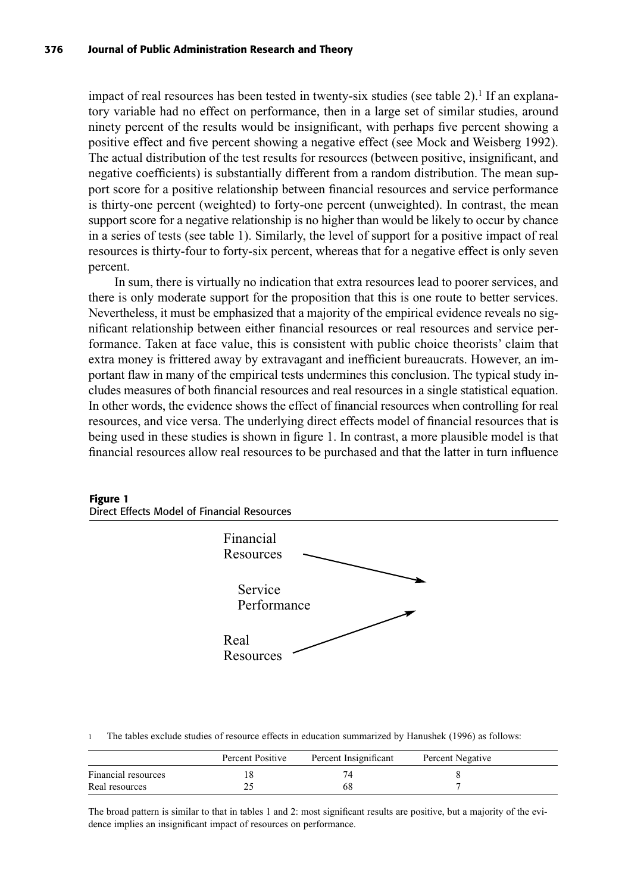**Figure 1**

impact of real resources has been tested in twenty-six studies (see table  $2$ ).<sup>1</sup> If an explanatory variable had no effect on performance, then in a large set of similar studies, around ninety percent of the results would be insignificant, with perhaps five percent showing a positive effect and five percent showing a negative effect (see Mock and Weisberg 1992). The actual distribution of the test results for resources (between positive, insignificant, and negative coefficients) is substantially different from a random distribution. The mean support score for a positive relationship between financial resources and service performance is thirty-one percent (weighted) to forty-one percent (unweighted). In contrast, the mean support score for a negative relationship is no higher than would be likely to occur by chance in a series of tests (see table 1). Similarly, the level of support for a positive impact of real resources is thirty-four to forty-six percent, whereas that for a negative effect is only seven percent.

In sum, there is virtually no indication that extra resources lead to poorer services, and there is only moderate support for the proposition that this is one route to better services. Nevertheless, it must be emphasized that a majority of the empirical evidence reveals no significant relationship between either financial resources or real resources and service performance. Taken at face value, this is consistent with public choice theorists' claim that extra money is frittered away by extravagant and inefficient bureaucrats. However, an important flaw in many of the empirical tests undermines this conclusion. The typical study includes measures of both financial resources and real resources in a single statistical equation. In other words, the evidence shows the effect of financial resources when controlling for real resources, and vice versa. The underlying direct effects model of financial resources that is being used in these studies is shown in figure 1. In contrast, a more plausible model is that financial resources allow real resources to be purchased and that the latter in turn influence



1 The tables exclude studies of resource effects in education summarized by Hanushek (1996) as follows:

|                     | Percent Positive | Percent Insignificant | Percent Negative |  |
|---------------------|------------------|-----------------------|------------------|--|
| Financial resources |                  |                       |                  |  |
| Real resources      |                  | 68                    |                  |  |

The broad pattern is similar to that in tables 1 and 2: most significant results are positive, but a majority of the evidence implies an insignificant impact of resources on performance.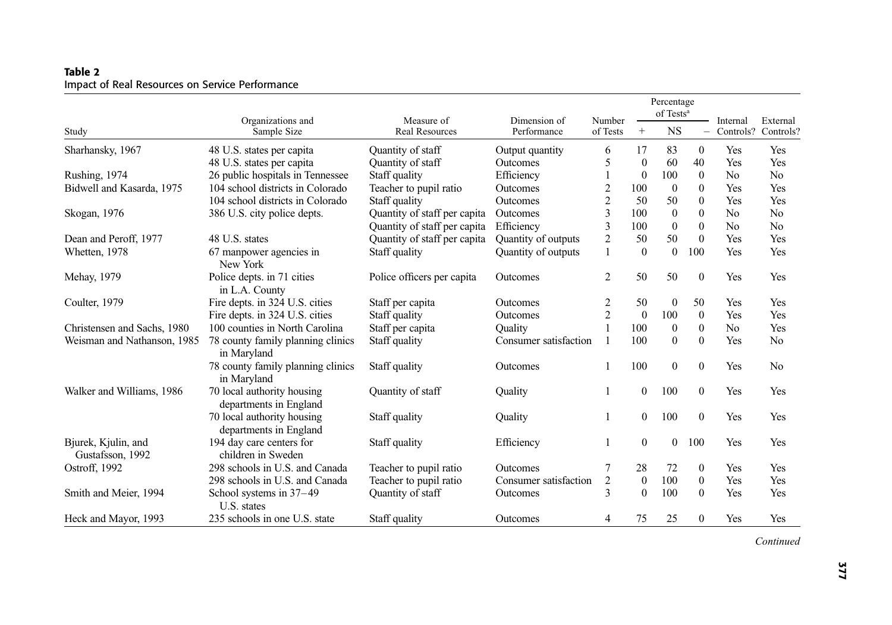#### **Table 2** Impact of Real Resources on Service Performance

|                                         |                                                      |                                     |                             |                    |              | Percentage<br>of Tests <sup>a</sup> |                  |                       | External       |
|-----------------------------------------|------------------------------------------------------|-------------------------------------|-----------------------------|--------------------|--------------|-------------------------------------|------------------|-----------------------|----------------|
| Study                                   | Organizations and<br>Sample Size                     | Measure of<br><b>Real Resources</b> | Dimension of<br>Performance | Number<br>of Tests | $^{+}$       | <b>NS</b>                           | $-$              | Internal<br>Controls? | Controls?      |
| Sharhansky, 1967                        | 48 U.S. states per capita                            | Quantity of staff                   | Output quantity             | 6                  | 17           | 83                                  | $\theta$         | Yes                   | Yes            |
|                                         | 48 U.S. states per capita                            | Quantity of staff                   | Outcomes                    | 5                  | $\mathbf{0}$ | 60                                  | 40               | Yes                   | Yes            |
| Rushing, 1974                           | 26 public hospitals in Tennessee                     | Staff quality                       | Efficiency                  |                    | $\theta$     | 100                                 | $\mathbf{0}$     | N <sub>0</sub>        | N <sub>0</sub> |
| Bidwell and Kasarda, 1975               | 104 school districts in Colorado                     | Teacher to pupil ratio              | <b>Outcomes</b>             | 2                  | 100          | $\mathbf{0}$                        | $\theta$         | Yes                   | Yes            |
|                                         | 104 school districts in Colorado                     | Staff quality                       | <b>Outcomes</b>             | $\overline{2}$     | 50           | 50                                  | $\theta$         | Yes                   | Yes            |
| Skogan, 1976                            | 386 U.S. city police depts.                          | Quantity of staff per capita        | Outcomes                    | 3                  | 100          | $\bf{0}$                            | $\mathbf{0}$     | N <sub>0</sub>        | No             |
|                                         |                                                      | Quantity of staff per capita        | Efficiency                  | 3                  | 100          | $\mathbf{0}$                        | $\mathbf{0}$     | N <sub>0</sub>        | N <sub>0</sub> |
| Dean and Peroff, 1977                   | 48 U.S. states                                       | Quantity of staff per capita        | Quantity of outputs         | $\overline{2}$     | 50           | 50                                  | $\boldsymbol{0}$ | Yes                   | Yes            |
| Whetten, 1978                           | 67 manpower agencies in<br>New York                  | Staff quality                       | Quantity of outputs         | $\mathbf{1}$       | $\Omega$     | $\theta$                            | 100              | Yes                   | Yes            |
| Mehay, 1979                             | Police depts. in 71 cities<br>in L.A. County         | Police officers per capita          | Outcomes                    | 2                  | 50           | 50                                  | $\theta$         | Yes                   | Yes            |
| Coulter, 1979                           | Fire depts. in 324 U.S. cities                       | Staff per capita                    | <b>Outcomes</b>             | 2                  | 50           | $\bf{0}$                            | 50               | Yes                   | Yes            |
|                                         | Fire depts. in 324 U.S. cities                       | Staff quality                       | Outcomes                    | $\overline{2}$     | $\mathbf{0}$ | 100                                 | $\mathbf{0}$     | Yes                   | Yes            |
| Christensen and Sachs, 1980             | 100 counties in North Carolina                       | Staff per capita                    | Ouality                     |                    | 100          | $\mathbf{0}$                        | $\mathbf{0}$     | No                    | Yes            |
| Weisman and Nathanson, 1985             | 78 county family planning clinics<br>in Maryland     | Staff quality                       | Consumer satisfaction       |                    | 100          | $\mathbf{0}$                        | $\mathbf{0}$     | Yes                   | N <sub>0</sub> |
|                                         | 78 county family planning clinics<br>in Maryland     | Staff quality                       | Outcomes                    | $\mathbf{1}$       | 100          | $\Omega$                            | $\theta$         | Yes                   | No             |
| Walker and Williams, 1986               | 70 local authority housing<br>departments in England | Quantity of staff                   | Ouality                     |                    | $\theta$     | 100                                 | $\mathbf{0}$     | Yes                   | Yes            |
|                                         | 70 local authority housing<br>departments in England | Staff quality                       | Quality                     |                    | $\theta$     | 100                                 | $\theta$         | Yes                   | Yes            |
| Bjurek, Kjulin, and<br>Gustafsson, 1992 | 194 day care centers for<br>children in Sweden       | Staff quality                       | Efficiency                  |                    | $\mathbf{0}$ | $\overline{0}$                      | 100              | Yes                   | Yes            |
| Ostroff, 1992                           | 298 schools in U.S. and Canada                       | Teacher to pupil ratio              | <b>Outcomes</b>             | 7                  | 28           | 72                                  | $\theta$         | Yes                   | Yes            |
|                                         | 298 schools in U.S. and Canada                       | Teacher to pupil ratio              | Consumer satisfaction       | 2                  | $\theta$     | 100                                 | $\theta$         | Yes                   | Yes            |
| Smith and Meier, 1994                   | School systems in 37–49<br>U.S. states               | Quantity of staff                   | Outcomes                    | 3                  | $\theta$     | 100                                 | $\theta$         | Yes                   | Yes            |
| Heck and Mayor, 1993                    | 235 schools in one U.S. state                        | Staff quality                       | <b>Outcomes</b>             | 4                  | 75           | 25                                  | $\theta$         | Yes                   | Yes            |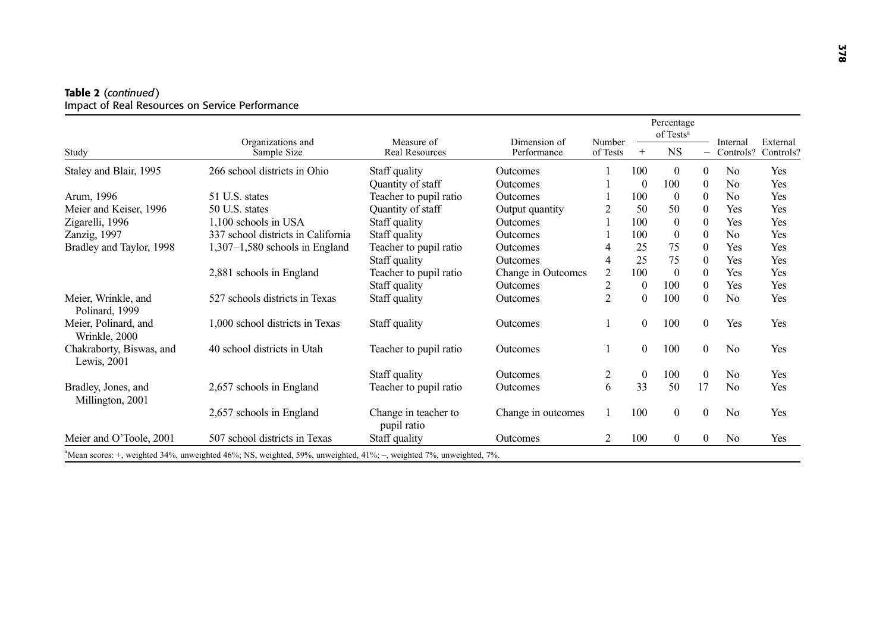|                                           | Organizations and                                                                                                      | Measure of                          | Dimension of       | Number   |              | Percentage<br>of Tests <sup>a</sup> |                | Internal       | External  |
|-------------------------------------------|------------------------------------------------------------------------------------------------------------------------|-------------------------------------|--------------------|----------|--------------|-------------------------------------|----------------|----------------|-----------|
| Study                                     | Sample Size                                                                                                            | <b>Real Resources</b>               | Performance        | of Tests | $^{+}$       | <b>NS</b>                           |                | Controls?      | Controls? |
| Staley and Blair, 1995                    | 266 school districts in Ohio                                                                                           | Staff quality                       | Outcomes           |          | 100          | $\mathbf{0}$                        | $\mathbf{0}$   | No             | Yes       |
|                                           |                                                                                                                        | Quantity of staff                   | Outcomes           |          | $\theta$     | 100                                 | $\theta$       | N <sub>0</sub> | Yes       |
| Arum, 1996                                | 51 U.S. states                                                                                                         | Teacher to pupil ratio              | <b>Outcomes</b>    |          | 100          | $\bf{0}$                            | $\theta$       | No             | Yes       |
| Meier and Keiser, 1996                    | 50 U.S. states                                                                                                         | Quantity of staff                   | Output quantity    |          | 50           | 50                                  | $\theta$       | Yes            | Yes       |
| Zigarelli, 1996                           | 1,100 schools in USA                                                                                                   | Staff quality                       | <b>Outcomes</b>    |          | 100          | $\mathbf{0}$                        | $\theta$       | Yes            | Yes       |
| Zanzig, 1997                              | 337 school districts in California                                                                                     | Staff quality                       | Outcomes           |          | 100          | $\bf{0}$                            | $\bf{0}$       | N <sub>o</sub> | Yes       |
| Bradley and Taylor, 1998                  | $1,307-1,580$ schools in England                                                                                       | Teacher to pupil ratio              | Outcomes           | 4        | 25           | 75                                  | $\theta$       | Yes            | Yes       |
|                                           |                                                                                                                        | Staff quality                       | <b>Outcomes</b>    | 4        | 25           | 75                                  | $\theta$       | Yes            | Yes       |
|                                           | 2,881 schools in England                                                                                               | Teacher to pupil ratio              | Change in Outcomes | 2        | 100          | $\mathbf{0}$                        | $\theta$       | Yes            | Yes       |
|                                           |                                                                                                                        | Staff quality                       | <b>Outcomes</b>    | 2        | $\theta$     | 100                                 | $\theta$       | Yes            | Yes       |
| Meier, Wrinkle, and<br>Polinard, 1999     | 527 schools districts in Texas                                                                                         | Staff quality                       | Outcomes           | 2        | $\theta$     | 100                                 | $\theta$       | N <sub>o</sub> | Yes       |
| Meier, Polinard, and<br>Wrinkle, 2000     | 1,000 school districts in Texas                                                                                        | Staff quality                       | Outcomes           |          | $\theta$     | 100                                 | $\Omega$       | Yes            | Yes       |
| Chakraborty, Biswas, and<br>Lewis, $2001$ | 40 school districts in Utah                                                                                            | Teacher to pupil ratio              | Outcomes           |          | $\theta$     | 100                                 | $\theta$       | No             | Yes       |
|                                           |                                                                                                                        | Staff quality                       | Outcomes           | 2        | $\mathbf{0}$ | 100                                 | $\theta$       | No             | Yes       |
| Bradley, Jones, and<br>Millington, 2001   | 2,657 schools in England                                                                                               | Teacher to pupil ratio              | Outcomes           | 6        | 33           | 50                                  | 17             | No             | Yes       |
|                                           | 2,657 schools in England                                                                                               | Change in teacher to<br>pupil ratio | Change in outcomes |          | 100          | $\mathbf{0}$                        | $\theta$       | No             | Yes       |
| Meier and O'Toole, 2001                   | 507 school districts in Texas                                                                                          | Staff quality                       | <b>Outcomes</b>    | 2        | 100          | $\overline{0}$                      | $\overline{0}$ | No             | Yes       |
|                                           | $^4$ Mean scores: +, weighted 34%, unweighted 46%; NS, weighted, 59%, unweighted, 41%; -, weighted 7%, unweighted, 7%. |                                     |                    |          |              |                                     |                |                |           |

#### **Table 2** (*continued*) Impact of Real Resources on Service Performance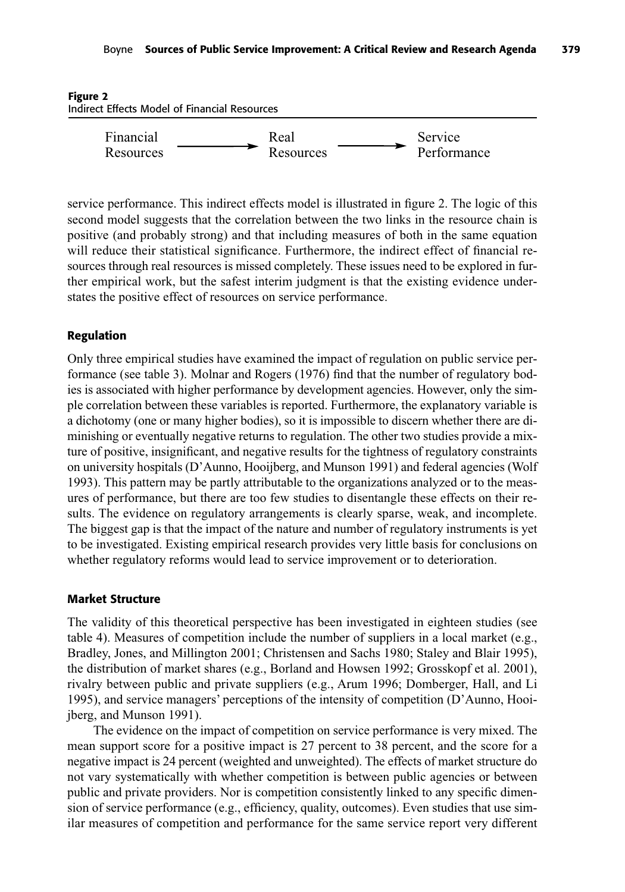#### **Figure 2** Indirect Effects Model of Financial Resources



service performance. This indirect effects model is illustrated in figure 2. The logic of this second model suggests that the correlation between the two links in the resource chain is positive (and probably strong) and that including measures of both in the same equation will reduce their statistical significance. Furthermore, the indirect effect of financial resources through real resources is missed completely. These issues need to be explored in further empirical work, but the safest interim judgment is that the existing evidence understates the positive effect of resources on service performance.

## **Regulation**

Only three empirical studies have examined the impact of regulation on public service performance (see table 3). Molnar and Rogers (1976) find that the number of regulatory bodies is associated with higher performance by development agencies. However, only the simple correlation between these variables is reported. Furthermore, the explanatory variable is a dichotomy (one or many higher bodies), so it is impossible to discern whether there are diminishing or eventually negative returns to regulation. The other two studies provide a mixture of positive, insignificant, and negative results for the tightness of regulatory constraints on university hospitals (D'Aunno, Hooijberg, and Munson 1991) and federal agencies (Wolf 1993). This pattern may be partly attributable to the organizations analyzed or to the measures of performance, but there are too few studies to disentangle these effects on their results. The evidence on regulatory arrangements is clearly sparse, weak, and incomplete. The biggest gap is that the impact of the nature and number of regulatory instruments is yet to be investigated. Existing empirical research provides very little basis for conclusions on whether regulatory reforms would lead to service improvement or to deterioration.

## **Market Structure**

The validity of this theoretical perspective has been investigated in eighteen studies (see table 4). Measures of competition include the number of suppliers in a local market (e.g., Bradley, Jones, and Millington 2001; Christensen and Sachs 1980; Staley and Blair 1995), the distribution of market shares (e.g., Borland and Howsen 1992; Grosskopf et al. 2001), rivalry between public and private suppliers (e.g., Arum 1996; Domberger, Hall, and Li 1995), and service managers' perceptions of the intensity of competition (D'Aunno, Hooijberg, and Munson 1991).

The evidence on the impact of competition on service performance is very mixed. The mean support score for a positive impact is 27 percent to 38 percent, and the score for a negative impact is 24 percent (weighted and unweighted). The effects of market structure do not vary systematically with whether competition is between public agencies or between public and private providers. Nor is competition consistently linked to any specific dimension of service performance (e.g., efficiency, quality, outcomes). Even studies that use similar measures of competition and performance for the same service report very different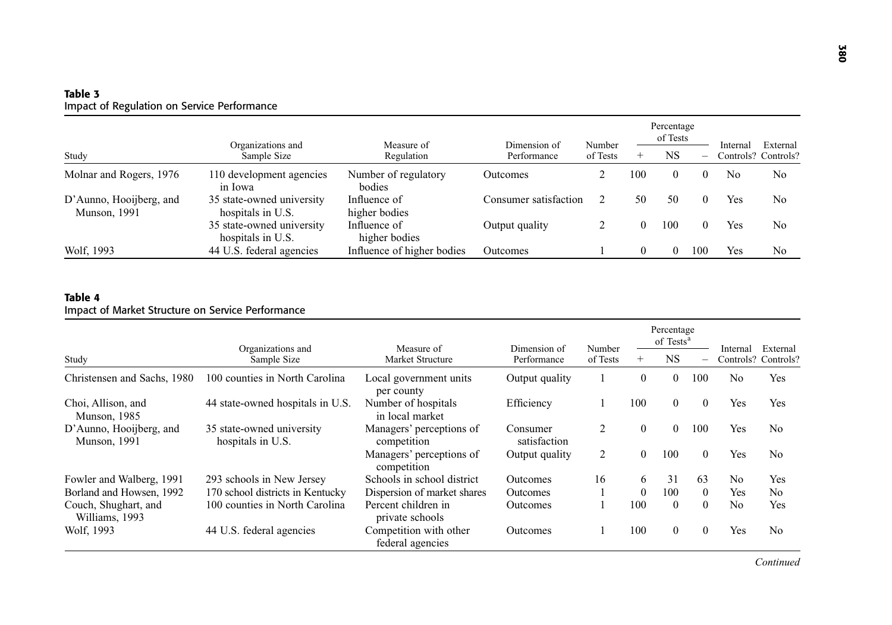## **Table 3**Impact of Regulation on Service Performance

|                                                 |                                                |                                |                             |                    | Percentage<br>of Tests |     |                          |          |                                 |
|-------------------------------------------------|------------------------------------------------|--------------------------------|-----------------------------|--------------------|------------------------|-----|--------------------------|----------|---------------------------------|
| Study                                           | Organizations and<br>Sample Size               | Measure of<br>Regulation       | Dimension of<br>Performance | Number<br>of Tests |                        | NS  | $\overline{\phantom{0}}$ | Internal | External<br>Controls? Controls? |
| Molnar and Rogers, 1976                         | 110 development agencies<br>in Iowa            | Number of regulatory<br>bodies | <b>Outcomes</b>             |                    | 100                    | 0   |                          | No       | N <sub>0</sub>                  |
| D'Aunno, Hooijberg, and<br><b>Munson</b> , 1991 | 35 state-owned university<br>hospitals in U.S. | Influence of<br>higher bodies  | Consumer satisfaction       |                    | 50                     | 50  |                          | Yes      | N <sub>0</sub>                  |
|                                                 | 35 state-owned university<br>hospitals in U.S. | Influence of<br>higher bodies  | Output quality              |                    |                        | 100 |                          | Yes      | N <sub>0</sub>                  |
| Wolf, 1993                                      | 44 U.S. federal agencies                       | Influence of higher bodies     | <b>Outcomes</b>             |                    |                        |     | 100                      | Yes      | N <sub>0</sub>                  |

## **Table 4**Impact of Market Structure on Service Performance

|                                                 | Organizations and                              | Measure of                                 | Dimension of             | Number         |          | Percentage<br>of Tests <sup>a</sup> |                          | Internal       | External       |
|-------------------------------------------------|------------------------------------------------|--------------------------------------------|--------------------------|----------------|----------|-------------------------------------|--------------------------|----------------|----------------|
| Study                                           | Sample Size                                    | Market Structure                           | Performance              | of Tests       |          | <b>NS</b>                           | $\overline{\phantom{0}}$ | Controls?      | Controls?      |
| Christensen and Sachs, 1980                     | 100 counties in North Carolina                 | Local government units<br>per county       | Output quality           |                | $\theta$ | 0                                   | 100                      | No             | Yes            |
| Choi, Allison, and<br><b>Munson</b> , 1985      | 44 state-owned hospitals in U.S.               | Number of hospitals<br>in local market     | Efficiency               |                | 100      | $\overline{0}$                      | $\overline{0}$           | Yes            | Yes            |
| D'Aunno, Hooijberg, and<br><b>Munson</b> , 1991 | 35 state-owned university<br>hospitals in U.S. | Managers' perceptions of<br>competition    | Consumer<br>satisfaction | $\overline{2}$ | $\theta$ | $\overline{0}$                      | 100                      | Yes            | No             |
|                                                 |                                                | Managers' perceptions of<br>competition    | Output quality           | 2              | $\theta$ | 100                                 | $\Omega$                 | Yes            | N <sub>0</sub> |
| Fowler and Walberg, 1991                        | 293 schools in New Jersey                      | Schools in school district                 | Outcomes                 | 16             | 6        | 31                                  | 63                       | No             | <b>Yes</b>     |
| Borland and Howsen, 1992                        | 170 school districts in Kentucky               | Dispersion of market shares                | Outcomes                 |                | $\Omega$ | 100                                 | $\Omega$                 | Yes            | N <sub>o</sub> |
| Couch, Shughart, and<br>Williams, 1993          | 100 counties in North Carolina                 | Percent children in<br>private schools     | Outcomes                 |                | 100      | $\theta$                            | $\Omega$                 | N <sub>0</sub> | Yes            |
| Wolf, 1993                                      | 44 U.S. federal agencies                       | Competition with other<br>federal agencies | Outcomes                 |                | 100      | $\overline{0}$                      | $\theta$                 | Yes            | No             |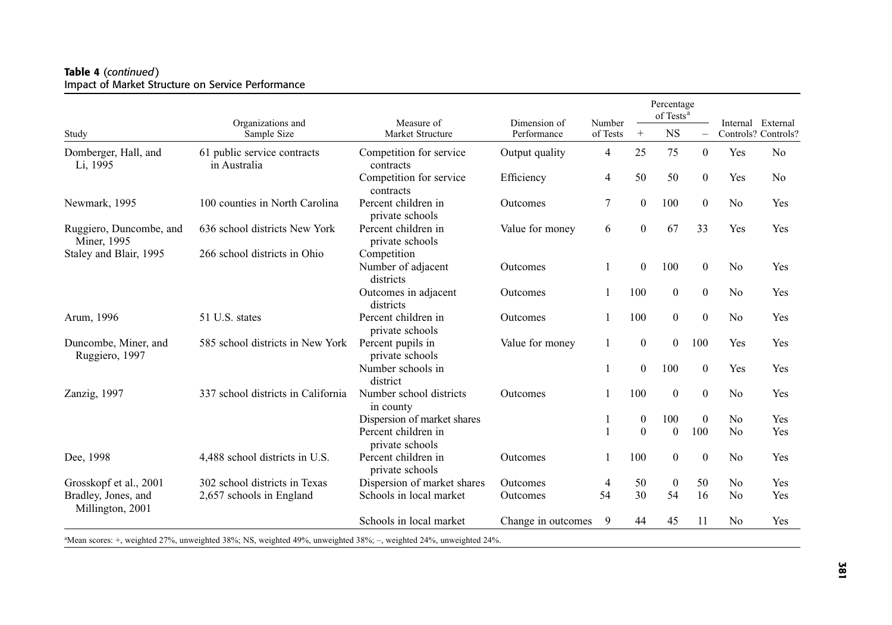### **Table 4** (*continued*) Impact of Market Structure on Service Performance

|                                         |                                                                                                                               |                                        |                             |                    |                | Percentage<br>of Tests <sup>a</sup> |                          |                |                                          |
|-----------------------------------------|-------------------------------------------------------------------------------------------------------------------------------|----------------------------------------|-----------------------------|--------------------|----------------|-------------------------------------|--------------------------|----------------|------------------------------------------|
| Study                                   | Organizations and<br>Sample Size                                                                                              | Measure of<br>Market Structure         | Dimension of<br>Performance | Number<br>of Tests | $^{+}$         | <b>NS</b>                           | $\overline{\phantom{0}}$ |                | Internal External<br>Controls? Controls? |
| Domberger, Hall, and<br>Li, 1995        | 61 public service contracts<br>in Australia                                                                                   | Competition for service<br>contracts   | Output quality              | $\overline{4}$     | 25             | 75                                  | $\Omega$                 | Yes            | N <sub>0</sub>                           |
|                                         |                                                                                                                               | Competition for service<br>contracts   | Efficiency                  | 4                  | 50             | 50                                  | $\Omega$                 | Yes            | N <sub>0</sub>                           |
| Newmark, 1995                           | 100 counties in North Carolina                                                                                                | Percent children in<br>private schools | Outcomes                    | 7                  | $\overline{0}$ | 100                                 | $\mathbf{0}$             | N <sub>0</sub> | Yes                                      |
| Ruggiero, Duncombe, and<br>Miner, 1995  | 636 school districts New York                                                                                                 | Percent children in<br>private schools | Value for money             | 6                  | $\Omega$       | 67                                  | 33                       | Yes            | Yes                                      |
| Staley and Blair, 1995                  | 266 school districts in Ohio                                                                                                  | Competition                            |                             |                    |                |                                     |                          |                |                                          |
|                                         |                                                                                                                               | Number of adjacent<br>districts        | <b>Outcomes</b>             | $\mathbf{1}$       | $\theta$       | 100                                 | $\theta$                 | N <sub>0</sub> | Yes                                      |
|                                         |                                                                                                                               | Outcomes in adjacent<br>districts      | Outcomes                    | 1                  | 100            | $\mathbf{0}$                        | $\theta$                 | N <sub>0</sub> | Yes                                      |
| Arum, 1996                              | 51 U.S. states                                                                                                                | Percent children in<br>private schools | Outcomes                    | 1                  | 100            | $\overline{0}$                      | $\mathbf{0}$             | N <sub>0</sub> | Yes                                      |
| Duncombe, Miner, and<br>Ruggiero, 1997  | 585 school districts in New York                                                                                              | Percent pupils in<br>private schools   | Value for money             | $\mathbf{1}$       | $\theta$       | $\theta$                            | 100                      | Yes            | Yes                                      |
|                                         |                                                                                                                               | Number schools in<br>district          |                             |                    | $\theta$       | 100                                 | $\theta$                 | Yes            | Yes                                      |
| Zanzig, 1997                            | 337 school districts in California                                                                                            | Number school districts<br>in county   | Outcomes                    | 1                  | 100            | $\boldsymbol{0}$                    | $\Omega$                 | N <sub>0</sub> | Yes                                      |
|                                         |                                                                                                                               | Dispersion of market shares            |                             | 1                  | $\mathbf{0}$   | 100                                 | $\mathbf{0}$             | No             | Yes                                      |
|                                         |                                                                                                                               | Percent children in<br>private schools |                             |                    | $\Omega$       | $\mathbf{0}$                        | 100                      | N <sub>0</sub> | Yes                                      |
| Dee, 1998                               | 4,488 school districts in U.S.                                                                                                | Percent children in<br>private schools | Outcomes                    | 1                  | 100            | $\mathbf{0}$                        | $\Omega$                 | N <sub>0</sub> | Yes                                      |
| Grosskopf et al., 2001                  | 302 school districts in Texas                                                                                                 | Dispersion of market shares            | Outcomes                    | 4                  | 50             | $\mathbf{0}$                        | 50                       | N <sub>0</sub> | Yes                                      |
| Bradley, Jones, and<br>Millington, 2001 | 2,657 schools in England                                                                                                      | Schools in local market                | Outcomes                    | 54                 | 30             | 54                                  | 16                       | N <sub>0</sub> | Yes                                      |
|                                         |                                                                                                                               | Schools in local market                | Change in outcomes          | 9                  | 44             | 45                                  | 11                       | N <sub>0</sub> | Yes                                      |
|                                         | <sup>a</sup> Mean scores: +, weighted 27%, unweighted 38%; NS, weighted 49%, unweighted 38%; -, weighted 24%, unweighted 24%. |                                        |                             |                    |                |                                     |                          |                |                                          |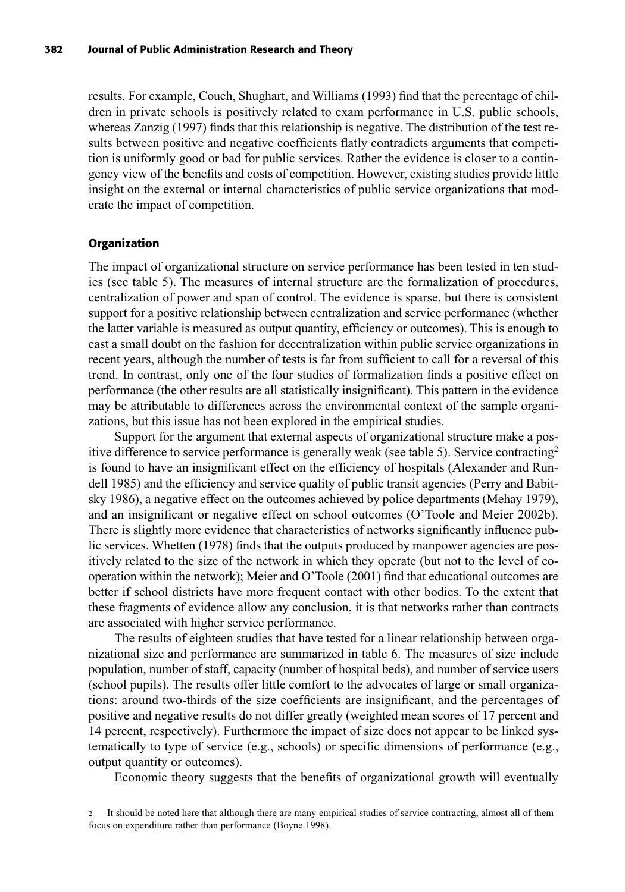results. For example, Couch, Shughart, and Williams (1993) find that the percentage of children in private schools is positively related to exam performance in U.S. public schools, whereas Zanzig (1997) finds that this relationship is negative. The distribution of the test results between positive and negative coefficients flatly contradicts arguments that competition is uniformly good or bad for public services. Rather the evidence is closer to a contingency view of the benefits and costs of competition. However, existing studies provide little insight on the external or internal characteristics of public service organizations that moderate the impact of competition.

## **Organization**

The impact of organizational structure on service performance has been tested in ten studies (see table 5). The measures of internal structure are the formalization of procedures, centralization of power and span of control. The evidence is sparse, but there is consistent support for a positive relationship between centralization and service performance (whether the latter variable is measured as output quantity, efficiency or outcomes). This is enough to cast a small doubt on the fashion for decentralization within public service organizations in recent years, although the number of tests is far from sufficient to call for a reversal of this trend. In contrast, only one of the four studies of formalization finds a positive effect on performance (the other results are all statistically insignificant). This pattern in the evidence may be attributable to differences across the environmental context of the sample organizations, but this issue has not been explored in the empirical studies.

Support for the argument that external aspects of organizational structure make a positive difference to service performance is generally weak (see table 5). Service contracting<sup>2</sup> is found to have an insignificant effect on the efficiency of hospitals (Alexander and Rundell 1985) and the efficiency and service quality of public transit agencies (Perry and Babitsky 1986), a negative effect on the outcomes achieved by police departments (Mehay 1979), and an insignificant or negative effect on school outcomes (O'Toole and Meier 2002b). There is slightly more evidence that characteristics of networks significantly influence public services. Whetten (1978) finds that the outputs produced by manpower agencies are positively related to the size of the network in which they operate (but not to the level of cooperation within the network); Meier and O'Toole (2001) find that educational outcomes are better if school districts have more frequent contact with other bodies. To the extent that these fragments of evidence allow any conclusion, it is that networks rather than contracts are associated with higher service performance.

The results of eighteen studies that have tested for a linear relationship between organizational size and performance are summarized in table 6. The measures of size include population, number of staff, capacity (number of hospital beds), and number of service users (school pupils). The results offer little comfort to the advocates of large or small organizations: around two-thirds of the size coefficients are insignificant, and the percentages of positive and negative results do not differ greatly (weighted mean scores of 17 percent and 14 percent, respectively). Furthermore the impact of size does not appear to be linked systematically to type of service (e.g., schools) or specific dimensions of performance (e.g., output quantity or outcomes).

Economic theory suggests that the benefits of organizational growth will eventually

<sup>2</sup> It should be noted here that although there are many empirical studies of service contracting, almost all of them focus on expenditure rather than performance (Boyne 1998).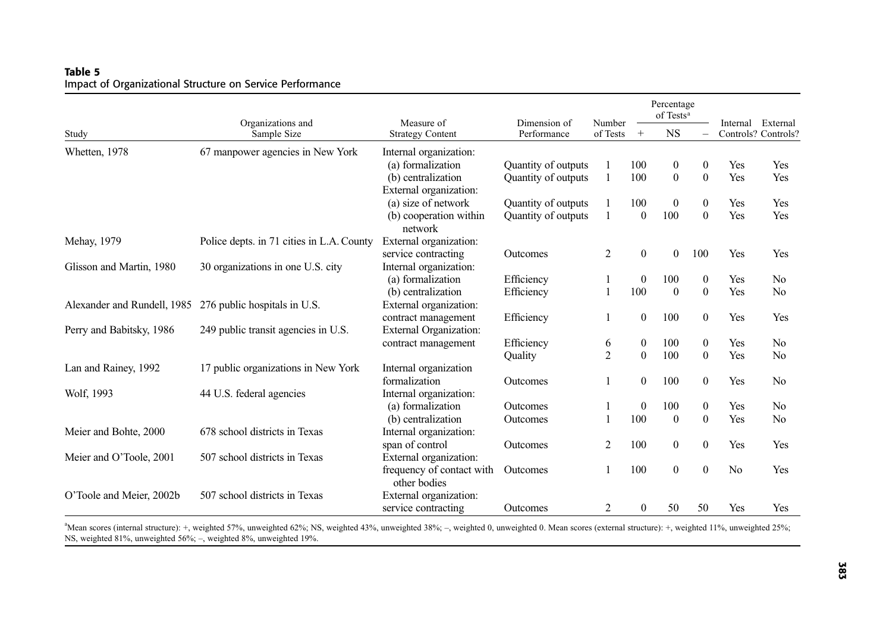# **Table 5**Impact of Organizational Structure on Service Performance

|                             |                                           |                                           |                             |                    |              | Percentage<br>of Tests <sup>a</sup> |                  |                |                                 |
|-----------------------------|-------------------------------------------|-------------------------------------------|-----------------------------|--------------------|--------------|-------------------------------------|------------------|----------------|---------------------------------|
| Study                       | Organizations and<br>Sample Size          | Measure of<br><b>Strategy Content</b>     | Dimension of<br>Performance | Number<br>of Tests | $^{+}$       | <b>NS</b>                           |                  | Internal       | External<br>Controls? Controls? |
| Whetten, 1978               | 67 manpower agencies in New York          | Internal organization:                    |                             |                    |              |                                     |                  |                |                                 |
|                             |                                           | (a) formalization                         | Quantity of outputs         |                    | 100          | $\boldsymbol{0}$                    | $\boldsymbol{0}$ | Yes            | Yes                             |
|                             |                                           | (b) centralization                        | Quantity of outputs         |                    | 100          | $\theta$                            | $\theta$         | Yes            | Yes                             |
|                             |                                           | External organization:                    |                             |                    |              |                                     |                  |                |                                 |
|                             |                                           | (a) size of network                       | Quantity of outputs         |                    | 100          | $\mathbf{0}$                        | $\boldsymbol{0}$ | Yes            | Yes                             |
|                             |                                           | (b) cooperation within                    | Quantity of outputs         | $\mathbf{1}$       | $\theta$     | 100                                 | $\theta$         | Yes            | Yes                             |
|                             |                                           | network                                   |                             |                    |              |                                     |                  |                |                                 |
| Mehay, 1979                 | Police depts. in 71 cities in L.A. County | External organization:                    |                             |                    |              |                                     |                  |                |                                 |
|                             |                                           | service contracting                       | <b>Outcomes</b>             | $\overline{2}$     | $\mathbf{0}$ | $\mathbf{0}$                        | 100              | Yes            | Yes                             |
| Glisson and Martin, 1980    | 30 organizations in one U.S. city         | Internal organization:                    |                             |                    |              |                                     |                  |                |                                 |
|                             |                                           | (a) formalization                         | Efficiency                  |                    | $\theta$     | 100                                 | $\theta$         | Yes            | N <sub>0</sub>                  |
|                             |                                           | (b) centralization                        | Efficiency                  | -1                 | 100          | $\theta$                            | $\theta$         | Yes            | N <sub>0</sub>                  |
| Alexander and Rundell, 1985 | 276 public hospitals in U.S.              | External organization:                    |                             |                    |              |                                     |                  |                |                                 |
|                             |                                           | contract management                       | Efficiency                  | 1                  | $\theta$     | 100                                 | $\theta$         | Yes            | Yes                             |
| Perry and Babitsky, 1986    | 249 public transit agencies in U.S.       | <b>External Organization:</b>             |                             |                    |              |                                     |                  |                |                                 |
|                             |                                           | contract management                       | Efficiency                  | 6                  | $\mathbf{0}$ | 100                                 | $\Omega$         | Yes            | N <sub>0</sub>                  |
|                             |                                           |                                           | Quality                     | $\overline{2}$     | $\theta$     | 100                                 | $\theta$         | Yes            | N <sub>0</sub>                  |
| Lan and Rainey, 1992        | 17 public organizations in New York       | Internal organization                     |                             |                    |              |                                     |                  |                |                                 |
|                             |                                           | formalization                             | Outcomes                    | 1                  | $\theta$     | 100                                 | $\theta$         | Yes            | N <sub>0</sub>                  |
| Wolf, 1993                  | 44 U.S. federal agencies                  | Internal organization:                    |                             |                    |              |                                     |                  |                |                                 |
|                             |                                           | (a) formalization                         | <b>Outcomes</b>             |                    | $\theta$     | 100                                 | $\Omega$         | Yes            | N <sub>0</sub>                  |
|                             |                                           | (b) centralization                        | Outcomes                    |                    | 100          | $\mathbf{0}$                        | $\theta$         | Yes            | N <sub>0</sub>                  |
| Meier and Bohte, 2000       | 678 school districts in Texas             | Internal organization:                    |                             |                    |              |                                     |                  |                |                                 |
|                             |                                           | span of control                           | Outcomes                    | 2                  | 100          | $\overline{0}$                      | $\theta$         | Yes            | Yes                             |
| Meier and O'Toole, 2001     | 507 school districts in Texas             | External organization:                    |                             |                    |              |                                     |                  |                |                                 |
|                             |                                           | frequency of contact with<br>other bodies | Outcomes                    |                    | 100          | $\overline{0}$                      | $\theta$         | N <sub>0</sub> | Yes                             |
| O'Toole and Meier, 2002b    | 507 school districts in Texas             | External organization:                    |                             |                    |              |                                     |                  |                |                                 |
|                             |                                           | service contracting                       | Outcomes                    | 2                  | $\theta$     | 50                                  | 50               | Yes            | Yes                             |

<sup>a</sup>Mean scores (internal structure): +, weighted 57%, unweighted 62%; NS, weighted 43%, unweighted 38%; -, weighted 0, unweighted 0. Mean scores (external structure): +, weighted 12%, unweighted 25%; NS, weighted 81%, unweighted 56%; –, weighted 8%, unweighted 19%.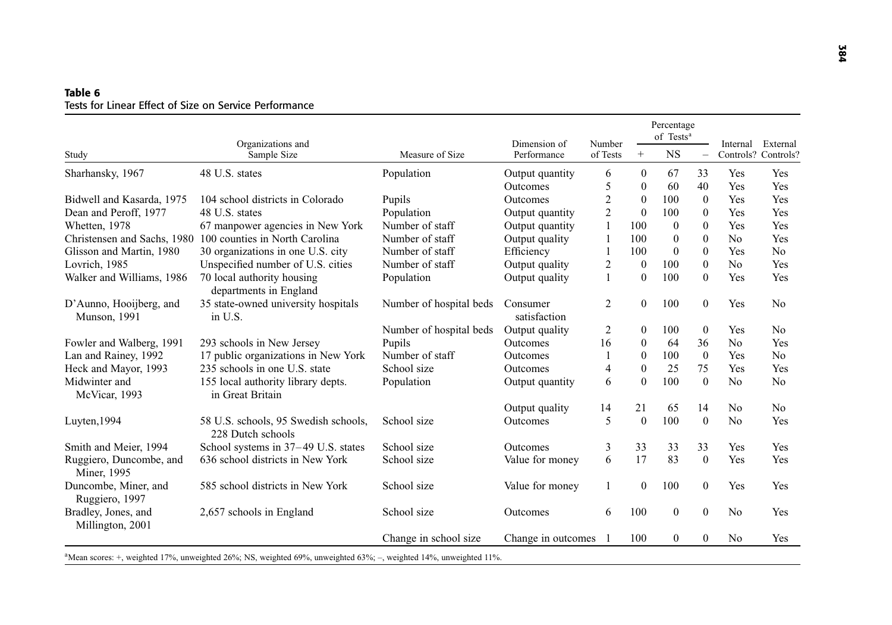## **Table 6**Tests for Linear Effect of Size on Service Performance

|                                         |                                                                                                                             |                         |                             |                    |              | Percentage<br>of Tests <sup>a</sup> |                   |                |                                 |
|-----------------------------------------|-----------------------------------------------------------------------------------------------------------------------------|-------------------------|-----------------------------|--------------------|--------------|-------------------------------------|-------------------|----------------|---------------------------------|
| Study                                   | Organizations and<br>Sample Size                                                                                            | Measure of Size         | Dimension of<br>Performance | Number<br>of Tests | $^{+}$       | <b>NS</b>                           | $\qquad \qquad -$ | Internal       | External<br>Controls? Controls? |
| Sharhansky, 1967                        | 48 U.S. states                                                                                                              | Population              | Output quantity             | 6                  | $\theta$     | 67                                  | 33                | Yes            | Yes                             |
|                                         |                                                                                                                             |                         | <b>Outcomes</b>             | 5                  | $\theta$     | 60                                  | 40                | <b>Yes</b>     | Yes                             |
| Bidwell and Kasarda, 1975               | 104 school districts in Colorado                                                                                            | Pupils                  | <b>Outcomes</b>             | 2                  | $\theta$     | 100                                 | $\mathbf{0}$      | Yes            | Yes                             |
| Dean and Peroff, 1977                   | 48 U.S. states                                                                                                              | Population              | Output quantity             | $\overline{c}$     | $\theta$     | 100                                 | $\mathbf{0}$      | Yes            | Yes                             |
| Whetten, 1978                           | 67 manpower agencies in New York                                                                                            | Number of staff         | Output quantity             | 1                  | 100          | $\mathbf{0}$                        | $\mathbf{0}$      | Yes            | Yes                             |
| Christensen and Sachs, 1980             | 100 counties in North Carolina                                                                                              | Number of staff         | Output quality              | 1                  | 100          | $\mathbf{0}$                        | $\theta$          | N <sub>0</sub> | Yes                             |
| Glisson and Martin, 1980                | 30 organizations in one U.S. city                                                                                           | Number of staff         | Efficiency                  | 1                  | 100          | $\mathbf{0}$                        | $\mathbf{0}$      | Yes            | N <sub>0</sub>                  |
| Lovrich, 1985                           | Unspecified number of U.S. cities                                                                                           | Number of staff         | Output quality              | $\overline{c}$     | $\mathbf{0}$ | 100                                 | $\mathbf{0}$      | N <sub>0</sub> | Yes                             |
| Walker and Williams, 1986               | 70 local authority housing<br>departments in England                                                                        | Population              | Output quality              | 1                  | $\theta$     | 100                                 | $\theta$          | Yes            | Yes                             |
| D'Aunno, Hooijberg, and<br>Munson, 1991 | 35 state-owned university hospitals<br>in U.S.                                                                              | Number of hospital beds | Consumer<br>satisfaction    | 2                  | $\mathbf{0}$ | 100                                 | $\mathbf{0}$      | Yes            | N <sub>0</sub>                  |
|                                         |                                                                                                                             | Number of hospital beds | Output quality              | $\overline{c}$     | $\mathbf{0}$ | 100                                 | $\mathbf{0}$      | <b>Yes</b>     | N <sub>0</sub>                  |
| Fowler and Walberg, 1991                | 293 schools in New Jersey                                                                                                   | Pupils                  | Outcomes                    | 16                 | $\mathbf{0}$ | 64                                  | 36                | N <sub>0</sub> | Yes                             |
| Lan and Rainey, 1992                    | 17 public organizations in New York                                                                                         | Number of staff         | <b>Outcomes</b>             | 1                  | $\Omega$     | 100                                 | $\mathbf{0}$      | Yes            | No                              |
| Heck and Mayor, 1993                    | 235 schools in one U.S. state                                                                                               | School size             | <b>Outcomes</b>             | 4                  | $\theta$     | 25                                  | 75                | Yes            | Yes                             |
| Midwinter and<br>McVicar, 1993          | 155 local authority library depts.<br>in Great Britain                                                                      | Population              | Output quantity             | 6                  | $\Omega$     | 100                                 | $\theta$          | N <sub>0</sub> | N <sub>0</sub>                  |
|                                         |                                                                                                                             |                         | Output quality              | 14                 | 21           | 65                                  | 14                | No             | No                              |
| Luyten, 1994                            | 58 U.S. schools, 95 Swedish schools,<br>228 Dutch schools                                                                   | School size             | <b>Outcomes</b>             | 5                  | $\Omega$     | 100                                 | $\theta$          | N <sub>0</sub> | Yes                             |
| Smith and Meier, 1994                   | School systems in 37–49 U.S. states                                                                                         | School size             | <b>Outcomes</b>             | 3                  | 33           | 33                                  | 33                | Yes            | Yes                             |
| Ruggiero, Duncombe, and<br>Miner, 1995  | 636 school districts in New York                                                                                            | School size             | Value for money             | 6                  | 17           | 83                                  | $\mathbf{0}$      | Yes            | Yes                             |
| Duncombe, Miner, and<br>Ruggiero, 1997  | 585 school districts in New York                                                                                            | School size             | Value for money             | $\mathbf{1}$       | $\theta$     | 100                                 | $\theta$          | Yes            | Yes                             |
| Bradley, Jones, and<br>Millington, 2001 | 2,657 schools in England                                                                                                    | School size             | Outcomes                    | 6                  | 100          | $\mathbf{0}$                        | $\theta$          | N <sub>0</sub> | Yes                             |
|                                         |                                                                                                                             | Change in school size   | Change in outcomes          | -1                 | 100          | $\theta$                            | $\theta$          | N <sub>0</sub> | Yes                             |
|                                         | $^4$ Mean scores: $+$ , weighted 17%, unweighted 26%; NS, weighted 69%, unweighted 63%; $-$ , weighted 14%, unweighted 11%. |                         |                             |                    |              |                                     |                   |                |                                 |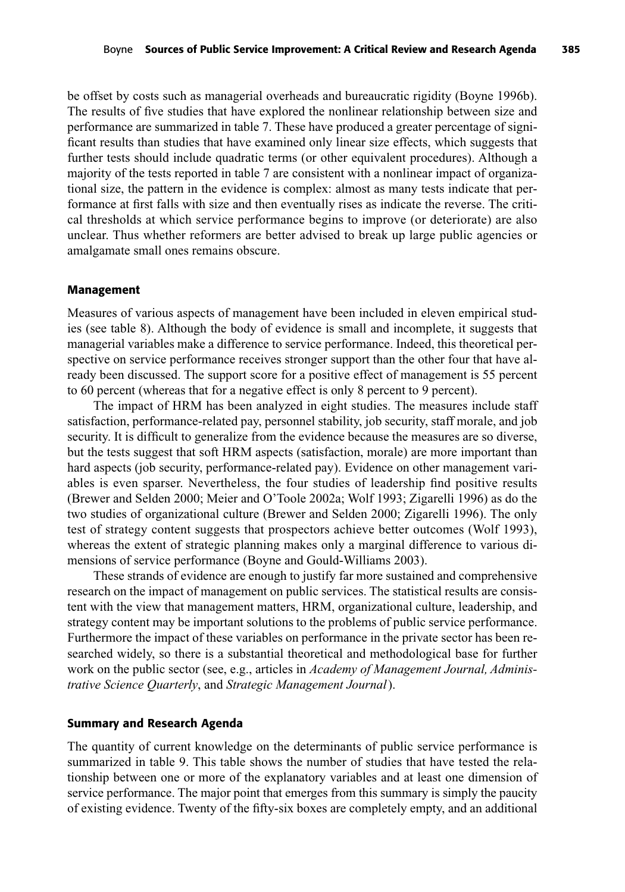be offset by costs such as managerial overheads and bureaucratic rigidity (Boyne 1996b). The results of five studies that have explored the nonlinear relationship between size and performance are summarized in table 7. These have produced a greater percentage of significant results than studies that have examined only linear size effects, which suggests that further tests should include quadratic terms (or other equivalent procedures). Although a majority of the tests reported in table 7 are consistent with a nonlinear impact of organizational size, the pattern in the evidence is complex: almost as many tests indicate that performance at first falls with size and then eventually rises as indicate the reverse. The critical thresholds at which service performance begins to improve (or deteriorate) are also unclear. Thus whether reformers are better advised to break up large public agencies or amalgamate small ones remains obscure.

#### **Management**

Measures of various aspects of management have been included in eleven empirical studies (see table 8). Although the body of evidence is small and incomplete, it suggests that managerial variables make a difference to service performance. Indeed, this theoretical perspective on service performance receives stronger support than the other four that have already been discussed. The support score for a positive effect of management is 55 percent to 60 percent (whereas that for a negative effect is only 8 percent to 9 percent).

The impact of HRM has been analyzed in eight studies. The measures include staff satisfaction, performance-related pay, personnel stability, job security, staff morale, and job security. It is difficult to generalize from the evidence because the measures are so diverse, but the tests suggest that soft HRM aspects (satisfaction, morale) are more important than hard aspects (job security, performance-related pay). Evidence on other management variables is even sparser. Nevertheless, the four studies of leadership find positive results (Brewer and Selden 2000; Meier and O'Toole 2002a; Wolf 1993; Zigarelli 1996) as do the two studies of organizational culture (Brewer and Selden 2000; Zigarelli 1996). The only test of strategy content suggests that prospectors achieve better outcomes (Wolf 1993), whereas the extent of strategic planning makes only a marginal difference to various dimensions of service performance (Boyne and Gould-Williams 2003).

These strands of evidence are enough to justify far more sustained and comprehensive research on the impact of management on public services. The statistical results are consistent with the view that management matters, HRM, organizational culture, leadership, and strategy content may be important solutions to the problems of public service performance. Furthermore the impact of these variables on performance in the private sector has been researched widely, so there is a substantial theoretical and methodological base for further work on the public sector (see, e.g., articles in *Academy of Management Journal, Administrative Science Quarterly*, and *Strategic Management Journal*).

#### **Summary and Research Agenda**

The quantity of current knowledge on the determinants of public service performance is summarized in table 9. This table shows the number of studies that have tested the relationship between one or more of the explanatory variables and at least one dimension of service performance. The major point that emerges from this summary is simply the paucity of existing evidence. Twenty of the fifty-six boxes are completely empty, and an additional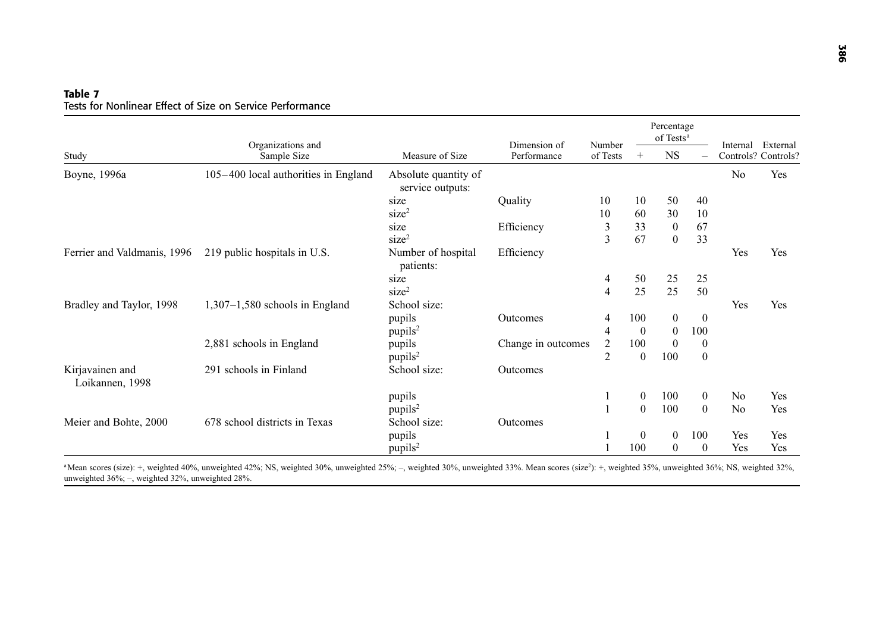|                                    | Organizations and                        |                                          | Dimension of       | Number   | Percentage<br>of Tests <sup>a</sup> |                |              | Internal            | External |
|------------------------------------|------------------------------------------|------------------------------------------|--------------------|----------|-------------------------------------|----------------|--------------|---------------------|----------|
| Study                              | Sample Size                              | Measure of Size                          | Performance        | of Tests | $^+$                                | <b>NS</b>      |              | Controls? Controls? |          |
| Boyne, 1996a                       | $105 - 400$ local authorities in England | Absolute quantity of<br>service outputs: |                    |          |                                     |                |              | N <sub>0</sub>      | Yes      |
|                                    |                                          | size                                     | Quality            | 10       | 10                                  | 50             | 40           |                     |          |
|                                    |                                          | size <sup>2</sup>                        |                    | 10       | 60                                  | 30             | 10           |                     |          |
|                                    |                                          | size                                     | Efficiency         | 3        | 33                                  | $\mathbf{0}$   | 67           |                     |          |
|                                    |                                          | size <sup>2</sup>                        |                    | 3        | 67                                  | $\mathbf{0}$   | 33           |                     |          |
| Ferrier and Valdmanis, 1996        | 219 public hospitals in U.S.             | Number of hospital<br>patients:          | Efficiency         |          |                                     |                |              | Yes                 | Yes      |
|                                    |                                          | size                                     |                    | 4        | 50                                  | 25             | 25           |                     |          |
|                                    |                                          | size <sup>2</sup>                        |                    | 4        | 25                                  | 25             | 50           |                     |          |
| Bradley and Taylor, 1998           | $1,307-1,580$ schools in England         | School size:                             |                    |          |                                     |                |              | Yes                 | Yes      |
|                                    |                                          | pupils                                   | Outcomes           | 4        | 100                                 | $\overline{0}$ | $\mathbf{0}$ |                     |          |
|                                    |                                          | pupils <sup>2</sup>                      |                    | 4        | $\theta$                            | $\overline{0}$ | 100          |                     |          |
|                                    | 2,881 schools in England                 | pupils                                   | Change in outcomes | 2        | 100                                 | $\mathbf{0}$   | $\bf{0}$     |                     |          |
|                                    |                                          | pupils <sup>2</sup>                      |                    | 2        | $\theta$                            | 100            | $\theta$     |                     |          |
| Kirjavainen and<br>Loikannen, 1998 | 291 schools in Finland                   | School size:                             | Outcomes           |          |                                     |                |              |                     |          |
|                                    |                                          | pupils                                   |                    |          | $\theta$                            | 100            | $\theta$     | N <sub>0</sub>      | Yes      |
|                                    |                                          | pupils <sup>2</sup>                      |                    |          | $\mathbf{0}$                        | 100            | $\theta$     | N <sub>0</sub>      | Yes      |
| Meier and Bohte, 2000              | 678 school districts in Texas            | School size:                             | Outcomes           |          |                                     |                |              |                     |          |
|                                    |                                          | pupils                                   |                    |          | $\mathbf{0}$                        | $\theta$       | 100          | Yes                 | Yes      |
|                                    |                                          | pupils <sup>2</sup>                      |                    |          | 100                                 | $\mathbf{0}$   | $\theta$     | Yes                 | Yes      |

## **Table 7**Tests for Nonlinear Effect of Size on Service Performance

<sup>a</sup>Mean scores (size): +, weighted 40%, unweighted 42%; NS, weighted 30%, unweighted 25%; -, weighted 30%, unweighted 33%. Mean scores (size<sup>2</sup>): +, weighted 35%, unweighted 36%; NS, weighted 32%, unweighted 36%; –, weighted 32%, unweighted 28%.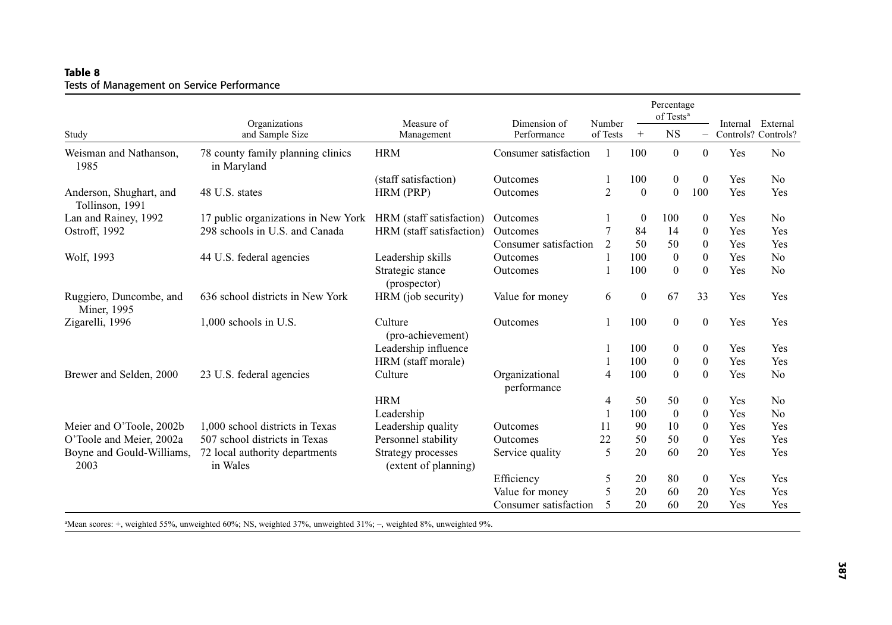### **Table 8**Tests of Management on Service Performance

|                                            |                                                  |                                            |                               |                    |              | Percentage<br>of Tests <sup>a</sup> |                |            | External            |
|--------------------------------------------|--------------------------------------------------|--------------------------------------------|-------------------------------|--------------------|--------------|-------------------------------------|----------------|------------|---------------------|
| Study                                      | Organizations<br>and Sample Size                 | Measure of<br>Management                   | Dimension of<br>Performance   | Number<br>of Tests | $^{+}$       | <b>NS</b>                           |                | Internal   | Controls? Controls? |
| Weisman and Nathanson,<br>1985             | 78 county family planning clinics<br>in Maryland | <b>HRM</b>                                 | Consumer satisfaction         |                    | 100          | $\overline{0}$                      | $\Omega$       | Yes        | N <sub>0</sub>      |
|                                            |                                                  | (staff satisfaction)                       | <b>Outcomes</b>               |                    | 100          | $\boldsymbol{0}$                    | $\mathbf{0}$   | Yes        | N <sub>0</sub>      |
| Anderson, Shughart, and<br>Tollinson, 1991 | 48 U.S. states                                   | HRM (PRP)                                  | Outcomes                      | $\overline{2}$     | $\Omega$     | $\overline{0}$                      | 100            | Yes        | Yes                 |
| Lan and Rainey, 1992                       | 17 public organizations in New York              | HRM (staff satisfaction)                   | <b>Outcomes</b>               |                    | $\theta$     | 100                                 | $\theta$       | <b>Yes</b> | N <sub>0</sub>      |
| Ostroff, 1992                              | 298 schools in U.S. and Canada                   | HRM (staff satisfaction)                   | Outcomes                      |                    | 84           | 14                                  | $\mathbf{0}$   | Yes        | Yes                 |
|                                            |                                                  |                                            | Consumer satisfaction         | $\overline{2}$     | 50           | 50                                  | $\mathbf{0}$   | Yes        | Yes                 |
| Wolf, 1993                                 | 44 U.S. federal agencies                         | Leadership skills                          | <b>Outcomes</b>               |                    | 100          | $\mathbf{0}$                        | $\theta$       | Yes        | No                  |
|                                            |                                                  | Strategic stance<br>(prospector)           | Outcomes                      |                    | 100          | $\mathbf{0}$                        | $\theta$       | Yes        | N <sub>0</sub>      |
| Ruggiero, Duncombe, and<br>Miner, 1995     | 636 school districts in New York                 | HRM (job security)                         | Value for money               | 6                  | $\mathbf{0}$ | 67                                  | 33             | Yes        | Yes                 |
| Zigarelli, 1996                            | 1,000 schools in U.S.                            | Culture<br>(pro-achievement)               | Outcomes                      |                    | 100          | $\boldsymbol{0}$                    | $\mathbf{0}$   | Yes        | Yes                 |
|                                            |                                                  | Leadership influence                       |                               |                    | 100          | $\boldsymbol{0}$                    | $\overline{0}$ | Yes        | Yes                 |
|                                            |                                                  | HRM (staff morale)                         |                               | 1                  | 100          | $\boldsymbol{0}$                    | $\theta$       | Yes        | Yes                 |
| Brewer and Selden, 2000                    | 23 U.S. federal agencies                         | Culture                                    | Organizational<br>performance | 4                  | 100          | $\mathbf{0}$                        | $\mathbf{0}$   | Yes        | N <sub>0</sub>      |
|                                            |                                                  | <b>HRM</b>                                 |                               | 4                  | 50           | 50                                  | $\theta$       | Yes        | N <sub>0</sub>      |
|                                            |                                                  | Leadership                                 |                               | $\mathbf{1}$       | 100          | $\mathbf{0}$                        | $\theta$       | Yes        | N <sub>0</sub>      |
| Meier and O'Toole, 2002b                   | 1,000 school districts in Texas                  | Leadership quality                         | <b>Outcomes</b>               | 11                 | 90           | 10                                  | $\theta$       | Yes        | Yes                 |
| O'Toole and Meier, 2002a                   | 507 school districts in Texas                    | Personnel stability                        | Outcomes                      | 22                 | 50           | 50                                  | $\theta$       | Yes        | Yes                 |
| Boyne and Gould-Williams,<br>2003          | 72 local authority departments<br>in Wales       | Strategy processes<br>(extent of planning) | Service quality               | 5                  | 20           | 60                                  | 20             | Yes        | Yes                 |
|                                            |                                                  |                                            | Efficiency                    | 5                  | 20           | 80                                  | $\theta$       | Yes        | Yes                 |
|                                            |                                                  |                                            | Value for money               | 5                  | 20           | 60                                  | 20             | Yes        | Yes                 |
|                                            |                                                  |                                            | Consumer satisfaction         | 5                  | 20           | 60                                  | 20             | Yes        | Yes                 |

aMean scores: +, weighted 55%, unweighted 60%; NS, weighted 37%, unweighted 31%; –, weighted 8%, unweighted 9%.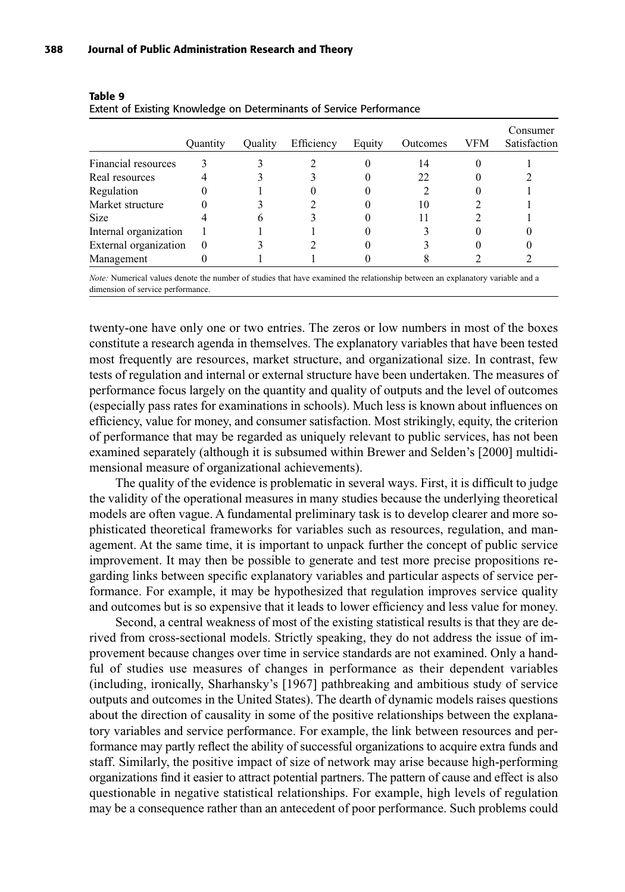|                       | <b>Ouantity</b> | <b>Ouality</b> | Efficiency | Equity | <b>Outcomes</b> | VFM | Consumer<br>Satisfaction |
|-----------------------|-----------------|----------------|------------|--------|-----------------|-----|--------------------------|
| Financial resources   |                 |                |            |        | 14              |     |                          |
| Real resources        |                 |                |            |        | 22              |     |                          |
| Regulation            |                 |                |            |        |                 |     |                          |
| Market structure      |                 |                |            |        | 10              |     |                          |
| <b>Size</b>           |                 |                |            |        |                 |     |                          |
| Internal organization |                 |                |            |        |                 |     |                          |
| External organization | $\theta$        |                |            |        |                 |     |                          |
| Management            |                 |                |            |        |                 |     |                          |

| Table 9                                                             |  |
|---------------------------------------------------------------------|--|
| Extent of Existing Knowledge on Determinants of Service Performance |  |

*Note:* Numerical values denote the number of studies that have examined the relationship between an explanatory variable and a dimension of service performance.

twenty-one have only one or two entries. The zeros or low numbers in most of the boxes constitute a research agenda in themselves. The explanatory variables that have been tested most frequently are resources, market structure, and organizational size. In contrast, few tests of regulation and internal or external structure have been undertaken. The measures of performance focus largely on the quantity and quality of outputs and the level of outcomes (especially pass rates for examinations in schools). Much less is known about influences on efficiency, value for money, and consumer satisfaction. Most strikingly, equity, the criterion of performance that may be regarded as uniquely relevant to public services, has not been examined separately (although it is subsumed within Brewer and Selden's [2000] multidimensional measure of organizational achievements).

The quality of the evidence is problematic in several ways. First, it is difficult to judge the validity of the operational measures in many studies because the underlying theoretical models are often vague. A fundamental preliminary task is to develop clearer and more sophisticated theoretical frameworks for variables such as resources, regulation, and management. At the same time, it is important to unpack further the concept of public service improvement. It may then be possible to generate and test more precise propositions regarding links between specific explanatory variables and particular aspects of service performance. For example, it may be hypothesized that regulation improves service quality and outcomes but is so expensive that it leads to lower efficiency and less value for money.

Second, a central weakness of most of the existing statistical results is that they are derived from cross-sectional models. Strictly speaking, they do not address the issue of improvement because changes over time in service standards are not examined. Only a handful of studies use measures of changes in performance as their dependent variables (including, ironically, Sharhansky's [1967] pathbreaking and ambitious study of service outputs and outcomes in the United States). The dearth of dynamic models raises questions about the direction of causality in some of the positive relationships between the explanatory variables and service performance. For example, the link between resources and performance may partly reflect the ability of successful organizations to acquire extra funds and staff. Similarly, the positive impact of size of network may arise because high-performing organizations find it easier to attract potential partners. The pattern of cause and effect is also questionable in negative statistical relationships. For example, high levels of regulation may be a consequence rather than an antecedent of poor performance. Such problems could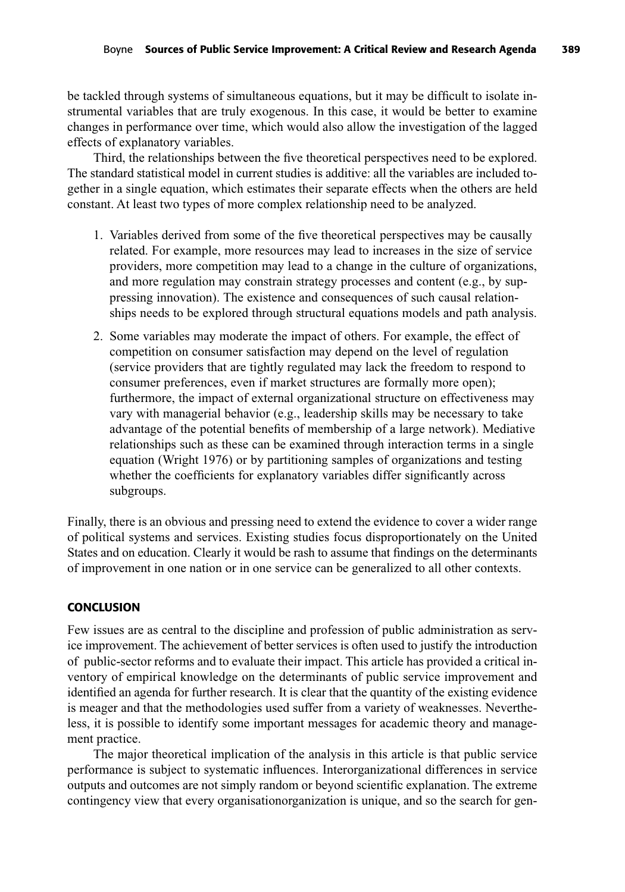be tackled through systems of simultaneous equations, but it may be difficult to isolate instrumental variables that are truly exogenous. In this case, it would be better to examine changes in performance over time, which would also allow the investigation of the lagged effects of explanatory variables.

Third, the relationships between the five theoretical perspectives need to be explored. The standard statistical model in current studies is additive: all the variables are included together in a single equation, which estimates their separate effects when the others are held constant. At least two types of more complex relationship need to be analyzed.

- 1. Variables derived from some of the five theoretical perspectives may be causally related. For example, more resources may lead to increases in the size of service providers, more competition may lead to a change in the culture of organizations, and more regulation may constrain strategy processes and content (e.g., by suppressing innovation). The existence and consequences of such causal relationships needs to be explored through structural equations models and path analysis.
- 2. Some variables may moderate the impact of others. For example, the effect of competition on consumer satisfaction may depend on the level of regulation (service providers that are tightly regulated may lack the freedom to respond to consumer preferences, even if market structures are formally more open); furthermore, the impact of external organizational structure on effectiveness may vary with managerial behavior (e.g., leadership skills may be necessary to take advantage of the potential benefits of membership of a large network). Mediative relationships such as these can be examined through interaction terms in a single equation (Wright 1976) or by partitioning samples of organizations and testing whether the coefficients for explanatory variables differ significantly across subgroups.

Finally, there is an obvious and pressing need to extend the evidence to cover a wider range of political systems and services. Existing studies focus disproportionately on the United States and on education. Clearly it would be rash to assume that findings on the determinants of improvement in one nation or in one service can be generalized to all other contexts.

## **CONCLUSION**

Few issues are as central to the discipline and profession of public administration as service improvement. The achievement of better services is often used to justify the introduction of public-sector reforms and to evaluate their impact. This article has provided a critical inventory of empirical knowledge on the determinants of public service improvement and identified an agenda for further research. It is clear that the quantity of the existing evidence is meager and that the methodologies used suffer from a variety of weaknesses. Nevertheless, it is possible to identify some important messages for academic theory and management practice.

The major theoretical implication of the analysis in this article is that public service performance is subject to systematic influences. Interorganizational differences in service outputs and outcomes are not simply random or beyond scientific explanation. The extreme contingency view that every organisationorganization is unique, and so the search for gen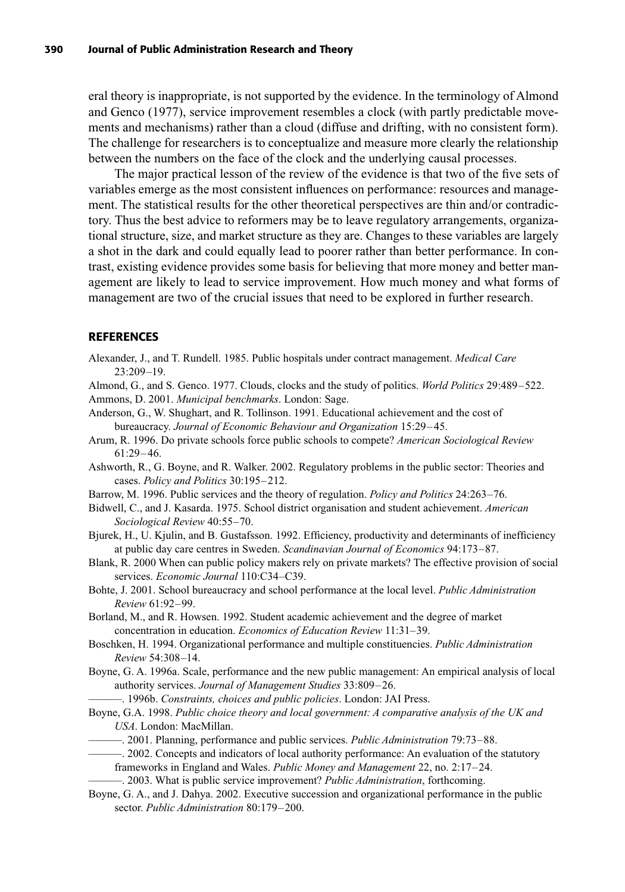eral theory is inappropriate, is not supported by the evidence. In the terminology of Almond and Genco (1977), service improvement resembles a clock (with partly predictable movements and mechanisms) rather than a cloud (diffuse and drifting, with no consistent form). The challenge for researchers is to conceptualize and measure more clearly the relationship between the numbers on the face of the clock and the underlying causal processes.

The major practical lesson of the review of the evidence is that two of the five sets of variables emerge as the most consistent influences on performance: resources and management. The statistical results for the other theoretical perspectives are thin and/or contradictory. Thus the best advice to reformers may be to leave regulatory arrangements, organizational structure, size, and market structure as they are. Changes to these variables are largely a shot in the dark and could equally lead to poorer rather than better performance. In contrast, existing evidence provides some basis for believing that more money and better management are likely to lead to service improvement. How much money and what forms of management are two of the crucial issues that need to be explored in further research.

#### **REFERENCES**

- Alexander, J., and T. Rundell. 1985. Public hospitals under contract management. *Medical Care* 23:209–19.
- Almond, G., and S. Genco. 1977. Clouds, clocks and the study of politics. *World Politics* 29:489–522.
- Ammons, D. 2001. *Municipal benchmarks*. London: Sage.
- Anderson, G., W. Shughart, and R. Tollinson. 1991. Educational achievement and the cost of bureaucracy. *Journal of Economic Behaviour and Organization* 15:29– 45.
- Arum, R. 1996. Do private schools force public schools to compete? *American Sociological Review* 61:29– 46.
- Ashworth, R., G. Boyne, and R. Walker. 2002. Regulatory problems in the public sector: Theories and cases. *Policy and Politics* 30:195–212.
- Barrow, M. 1996. Public services and the theory of regulation. *Policy and Politics* 24:263–76.
- Bidwell, C., and J. Kasarda. 1975. School district organisation and student achievement. *American Sociological Review* 40:55–70.
- Bjurek, H., U. Kjulin, and B. Gustafsson. 1992. Efficiency, productivity and determinants of inefficiency at public day care centres in Sweden. *Scandinavian Journal of Economics* 94:173–87.
- Blank, R. 2000 When can public policy makers rely on private markets? The effective provision of social services. *Economic Journal* 110:C34–C39.
- Bohte, J. 2001. School bureaucracy and school performance at the local level. *Public Administration Review* 61:92–99.
- Borland, M., and R. Howsen. 1992. Student academic achievement and the degree of market concentration in education. *Economics of Education Review* 11:31–39.
- Boschken, H. 1994. Organizational performance and multiple constituencies. *Public Administration Review* 54:308–14.
- Boyne, G. A. 1996a. Scale, performance and the new public management: An empirical analysis of local authority services. *Journal of Management Studies* 33:809–26.
	- ———. 1996b. *Constraints, choices and public policies*. London: JAI Press.
- Boyne, G.A. 1998. *Public choice theory and local government: A comparative analysis of the UK and USA*. London: MacMillan.
	- ———. 2001. Planning, performance and public services. *Public Administration* 79:73–88.
	- ———. 2002. Concepts and indicators of local authority performance: An evaluation of the statutory frameworks in England and Wales. *Public Money and Management* 22, no. 2:17–24.
		- ———. 2003. What is public service improvement? *Public Administration*, forthcoming.
- Boyne, G. A., and J. Dahya. 2002. Executive succession and organizational performance in the public sector. *Public Administration* 80:179–200.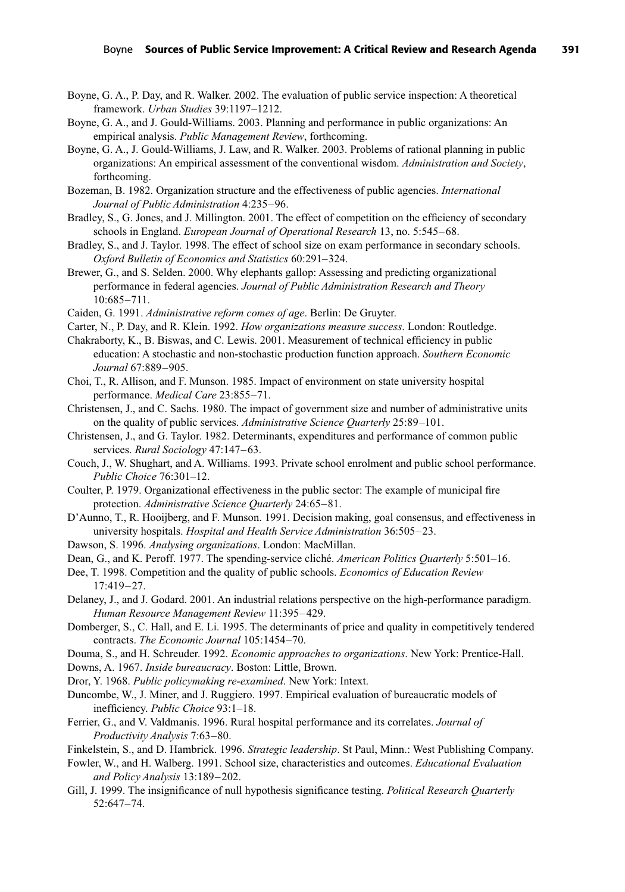- Boyne, G. A., P. Day, and R. Walker. 2002. The evaluation of public service inspection: A theoretical framework. *Urban Studies* 39:1197–1212.
- Boyne, G. A., and J. Gould-Williams. 2003. Planning and performance in public organizations: An empirical analysis. *Public Management Review*, forthcoming.
- Boyne, G. A., J. Gould-Williams, J. Law, and R. Walker. 2003. Problems of rational planning in public organizations: An empirical assessment of the conventional wisdom. *Administration and Society*, forthcoming.
- Bozeman, B. 1982. Organization structure and the effectiveness of public agencies. *International Journal of Public Administration* 4:235–96.
- Bradley, S., G. Jones, and J. Millington. 2001. The effect of competition on the efficiency of secondary schools in England. *European Journal of Operational Research* 13, no. 5:545–68.
- Bradley, S., and J. Taylor. 1998. The effect of school size on exam performance in secondary schools. *Oxford Bulletin of Economics and Statistics* 60:291–324.
- Brewer, G., and S. Selden. 2000. Why elephants gallop: Assessing and predicting organizational performance in federal agencies. *Journal of Public Administration Research and Theory* 10:685–711.
- Caiden, G. 1991. *Administrative reform comes of age*. Berlin: De Gruyter.
- Carter, N., P. Day, and R. Klein. 1992. *How organizations measure success*. London: Routledge.
- Chakraborty, K., B. Biswas, and C. Lewis. 2001. Measurement of technical efficiency in public education: A stochastic and non-stochastic production function approach. *Southern Economic Journal* 67:889–905.
- Choi, T., R. Allison, and F. Munson. 1985. Impact of environment on state university hospital performance. *Medical Care* 23:855–71.
- Christensen, J., and C. Sachs. 1980. The impact of government size and number of administrative units on the quality of public services. *Administrative Science Quarterly* 25:89–101.
- Christensen, J., and G. Taylor. 1982. Determinants, expenditures and performance of common public services. *Rural Sociology* 47:147–63.
- Couch, J., W. Shughart, and A. Williams. 1993. Private school enrolment and public school performance. *Public Choice* 76:301–12.
- Coulter, P. 1979. Organizational effectiveness in the public sector: The example of municipal fire protection. *Administrative Science Quarterly* 24:65–81.
- D'Aunno, T., R. Hooijberg, and F. Munson. 1991. Decision making, goal consensus, and effectiveness in university hospitals. *Hospital and Health Service Administration* 36:505–23.
- Dawson, S. 1996. *Analysing organizations*. London: MacMillan.
- Dean, G., and K. Peroff. 1977. The spending-service cliché. *American Politics Quarterly* 5:501–16.
- Dee, T. 1998. Competition and the quality of public schools. *Economics of Education Review* 17:419–27.
- Delaney, J., and J. Godard. 2001. An industrial relations perspective on the high-performance paradigm. *Human Resource Management Review* 11:395– 429.
- Domberger, S., C. Hall, and E. Li. 1995. The determinants of price and quality in competitively tendered contracts. *The Economic Journal* 105:1454–70.
- Douma, S., and H. Schreuder. 1992. *Economic approaches to organizations*. New York: Prentice-Hall.
- Downs, A. 1967. *Inside bureaucracy*. Boston: Little, Brown.
- Dror, Y. 1968. *Public policymaking re-examined*. New York: Intext.
- Duncombe, W., J. Miner, and J. Ruggiero. 1997. Empirical evaluation of bureaucratic models of inefficiency. *Public Choice* 93:1–18.
- Ferrier, G., and V. Valdmanis. 1996. Rural hospital performance and its correlates. *Journal of Productivity Analysis* 7:63–80.

Finkelstein, S., and D. Hambrick. 1996. *Strategic leadership*. St Paul, Minn.: West Publishing Company.

- Fowler, W., and H. Walberg. 1991. School size, characteristics and outcomes. *Educational Evaluation and Policy Analysis* 13:189–202.
- Gill, J. 1999. The insignificance of null hypothesis significance testing. *Political Research Quarterly* 52:647–74.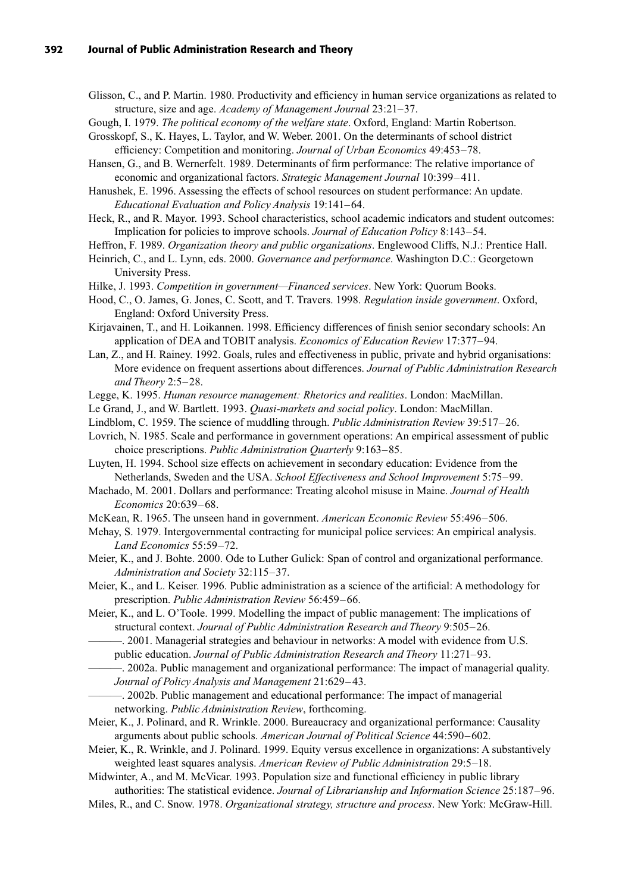#### **392 Journal of Public Administration Research and Theory**

Glisson, C., and P. Martin. 1980. Productivity and efficiency in human service organizations as related to structure, size and age. *Academy of Management Journal* 23:21–37.

Gough, I. 1979. *The political economy of the welfare state*. Oxford, England: Martin Robertson.

Grosskopf, S., K. Hayes, L. Taylor, and W. Weber. 2001. On the determinants of school district efficiency: Competition and monitoring. *Journal of Urban Economics* 49:453–78.

Hansen, G., and B. Wernerfelt. 1989. Determinants of firm performance: The relative importance of economic and organizational factors. *Strategic Management Journal* 10:399-411.

Hanushek, E. 1996. Assessing the effects of school resources on student performance: An update. *Educational Evaluation and Policy Analysis* 19:141–64.

Heck, R., and R. Mayor. 1993. School characteristics, school academic indicators and student outcomes: Implication for policies to improve schools. *Journal of Education Policy* 8:143–54.

Heffron, F. 1989. *Organization theory and public organizations*. Englewood Cliffs, N.J.: Prentice Hall.

- Heinrich, C., and L. Lynn, eds. 2000. *Governance and performance*. Washington D.C.: Georgetown University Press.
- Hilke, J. 1993. *Competition in government—Financed services*. New York: Quorum Books.
- Hood, C., O. James, G. Jones, C. Scott, and T. Travers. 1998. *Regulation inside government*. Oxford, England: Oxford University Press.

Kirjavainen, T., and H. Loikannen. 1998. Efficiency differences of finish senior secondary schools: An application of DEA and TOBIT analysis. *Economics of Education Review* 17:377–94.

- Lan, Z., and H. Rainey. 1992. Goals, rules and effectiveness in public, private and hybrid organisations: More evidence on frequent assertions about differences. *Journal of Public Administration Research and Theory* 2:5–28.
- Legge, K. 1995. *Human resource management: Rhetorics and realities*. London: MacMillan.
- Le Grand, J., and W. Bartlett. 1993. *Quasi-markets and social policy*. London: MacMillan.
- Lindblom, C. 1959. The science of muddling through. *Public Administration Review* 39:517–26.
- Lovrich, N. 1985. Scale and performance in government operations: An empirical assessment of public choice prescriptions. *Public Administration Quarterly* 9:163–85.
- Luyten, H. 1994. School size effects on achievement in secondary education: Evidence from the Netherlands, Sweden and the USA. *School Effectiveness and School Improvement* 5:75–99.
- Machado, M. 2001. Dollars and performance: Treating alcohol misuse in Maine. *Journal of Health Economics* 20:639–68.
- McKean, R. 1965. The unseen hand in government. *American Economic Review* 55:496–506.

Mehay, S. 1979. Intergovernmental contracting for municipal police services: An empirical analysis. *Land Economics* 55:59–72.

- Meier, K., and J. Bohte. 2000. Ode to Luther Gulick: Span of control and organizational performance. *Administration and Society* 32:115–37.
- Meier, K., and L. Keiser. 1996. Public administration as a science of the artificial: A methodology for prescription. *Public Administration Review* 56:459–66.
- Meier, K., and L. O'Toole. 1999. Modelling the impact of public management: The implications of structural context. *Journal of Public Administration Research and Theory* 9:505–26.
	- ———. 2001. Managerial strategies and behaviour in networks: A model with evidence from U.S. public education. *Journal of Public Administration Research and Theory* 11:271–93.
	- ———. 2002a. Public management and organizational performance: The impact of managerial quality. Journal of Policy Analysis and Management 21:629-43.
	- ———. 2002b. Public management and educational performance: The impact of managerial networking. *Public Administration Review*, forthcoming.

Meier, K., J. Polinard, and R. Wrinkle. 2000. Bureaucracy and organizational performance: Causality arguments about public schools. *American Journal of Political Science* 44:590–602.

Meier, K., R. Wrinkle, and J. Polinard. 1999. Equity versus excellence in organizations: A substantively weighted least squares analysis. *American Review of Public Administration* 29:5–18.

Midwinter, A., and M. McVicar. 1993. Population size and functional efficiency in public library authorities: The statistical evidence. *Journal of Librarianship and Information Science* 25:187–96.

Miles, R., and C. Snow. 1978. *Organizational strategy, structure and process*. New York: McGraw-Hill.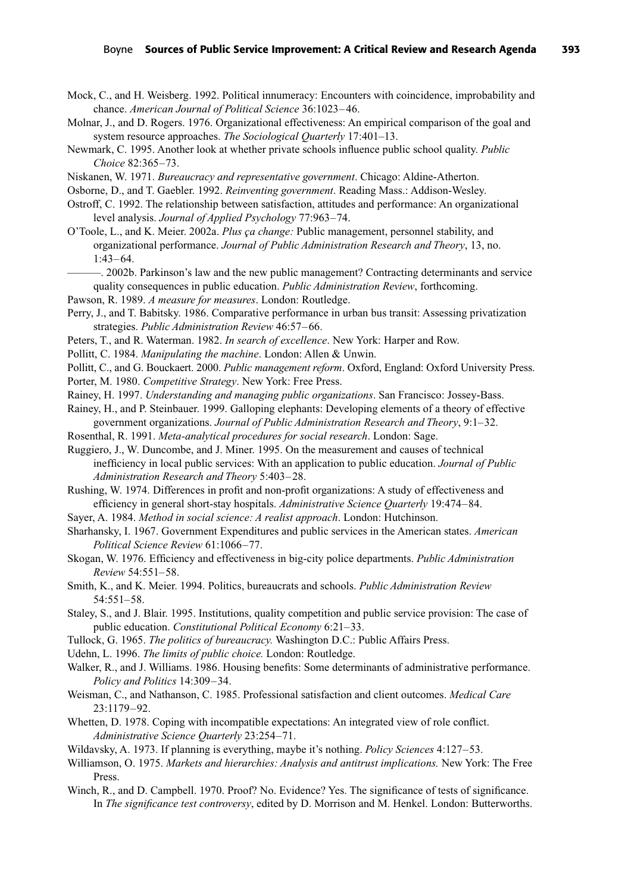Mock, C., and H. Weisberg. 1992. Political innumeracy: Encounters with coincidence, improbability and chance. *American Journal of Political Science* 36:1023– 46.

- Molnar, J., and D. Rogers. 1976. Organizational effectiveness: An empirical comparison of the goal and system resource approaches. *The Sociological Quarterly* 17:401–13.
- Newmark, C. 1995. Another look at whether private schools influence public school quality. *Public Choice* 82:365–73.
- Niskanen, W. 1971. *Bureaucracy and representative government*. Chicago: Aldine-Atherton.
- Osborne, D., and T. Gaebler. 1992. *Reinventing government*. Reading Mass.: Addison-Wesley.
- Ostroff, C. 1992. The relationship between satisfaction, attitudes and performance: An organizational level analysis. *Journal of Applied Psychology* 77:963–74.
- O'Toole, L., and K. Meier. 2002a. *Plus ça change:* Public management, personnel stability, and organizational performance. *Journal of Public Administration Research and Theory*, 13, no. 1:43–64.
- ———. 2002b. Parkinson's law and the new public management? Contracting determinants and service quality consequences in public education. *Public Administration Review*, forthcoming.

Pawson, R. 1989. *A measure for measures*. London: Routledge.

- Perry, J., and T. Babitsky. 1986. Comparative performance in urban bus transit: Assessing privatization strategies. *Public Administration Review* 46:57–66.
- Peters, T., and R. Waterman. 1982. *In search of excellence*. New York: Harper and Row.
- Pollitt, C. 1984. *Manipulating the machine*. London: Allen & Unwin.

Pollitt, C., and G. Bouckaert. 2000. *Public management reform*. Oxford, England: Oxford University Press.

Porter, M. 1980. *Competitive Strategy*. New York: Free Press.

Rainey, H. 1997. *Understanding and managing public organizations*. San Francisco: Jossey-Bass.

- Rainey, H., and P. Steinbauer. 1999. Galloping elephants: Developing elements of a theory of effective government organizations. *Journal of Public Administration Research and Theory*, 9:1–32.
- Rosenthal, R. 1991. *Meta-analytical procedures for social research*. London: Sage.
- Ruggiero, J., W. Duncombe, and J. Miner. 1995. On the measurement and causes of technical inefficiency in local public services: With an application to public education. *Journal of Public Administration Research and Theory* 5:403–28.

Rushing, W. 1974. Differences in profit and non-profit organizations: A study of effectiveness and efficiency in general short-stay hospitals. *Administrative Science Quarterly* 19:474–84.

Sayer, A. 1984. *Method in social science: A realist approach*. London: Hutchinson.

Sharhansky, I. 1967. Government Expenditures and public services in the American states. *American Political Science Review* 61:1066–77.

- Skogan, W. 1976. Efficiency and effectiveness in big-city police departments. *Public Administration Review* 54:551–58.
- Smith, K., and K. Meier. 1994. Politics, bureaucrats and schools. *Public Administration Review* 54:551–58.
- Staley, S., and J. Blair. 1995. Institutions, quality competition and public service provision: The case of public education. *Constitutional Political Economy* 6:21–33.
- Tullock, G. 1965. *The politics of bureaucracy.* Washington D.C.: Public Affairs Press.
- Udehn, L. 1996. *The limits of public choice.* London: Routledge.

Walker, R., and J. Williams. 1986. Housing benefits: Some determinants of administrative performance. *Policy and Politics* 14:309–34.

- Weisman, C., and Nathanson, C. 1985. Professional satisfaction and client outcomes. *Medical Care* 23:1179–92.
- Whetten, D. 1978. Coping with incompatible expectations: An integrated view of role conflict. *Administrative Science Quarterly* 23:254–71.
- Wildavsky, A. 1973. If planning is everything, maybe it's nothing. *Policy Sciences* 4:127–53.
- Williamson, O. 1975. *Markets and hierarchies: Analysis and antitrust implications.* New York: The Free Press.
- Winch, R., and D. Campbell. 1970. Proof? No. Evidence? Yes. The significance of tests of significance. In *The significance test controversy*, edited by D. Morrison and M. Henkel. London: Butterworths.